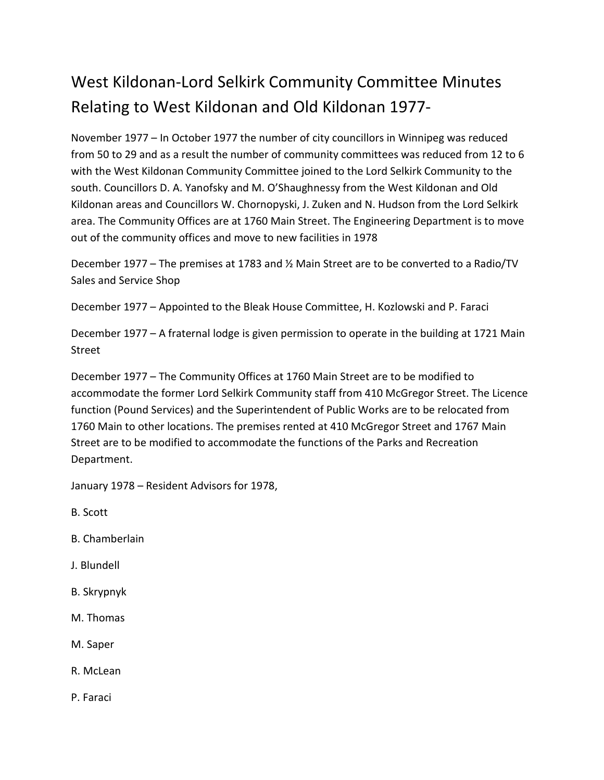## West Kildonan-Lord Selkirk Community Committee Minutes Relating to West Kildonan and Old Kildonan 1977-

November 1977 – In October 1977 the number of city councillors in Winnipeg was reduced from 50 to 29 and as a result the number of community committees was reduced from 12 to 6 with the West Kildonan Community Committee joined to the Lord Selkirk Community to the south. Councillors D. A. Yanofsky and M. O'Shaughnessy from the West Kildonan and Old Kildonan areas and Councillors W. Chornopyski, J. Zuken and N. Hudson from the Lord Selkirk area. The Community Offices are at 1760 Main Street. The Engineering Department is to move out of the community offices and move to new facilities in 1978

December 1977 – The premises at 1783 and ½ Main Street are to be converted to a Radio/TV Sales and Service Shop

December 1977 – Appointed to the Bleak House Committee, H. Kozlowski and P. Faraci

December 1977 – A fraternal lodge is given permission to operate in the building at 1721 Main Street

December 1977 – The Community Offices at 1760 Main Street are to be modified to accommodate the former Lord Selkirk Community staff from 410 McGregor Street. The Licence function (Pound Services) and the Superintendent of Public Works are to be relocated from 1760 Main to other locations. The premises rented at 410 McGregor Street and 1767 Main Street are to be modified to accommodate the functions of the Parks and Recreation Department.

January 1978 – Resident Advisors for 1978,

B. Scott

- B. Chamberlain
- J. Blundell
- B. Skrypnyk
- M. Thomas
- M. Saper
- R. McLean
- P. Faraci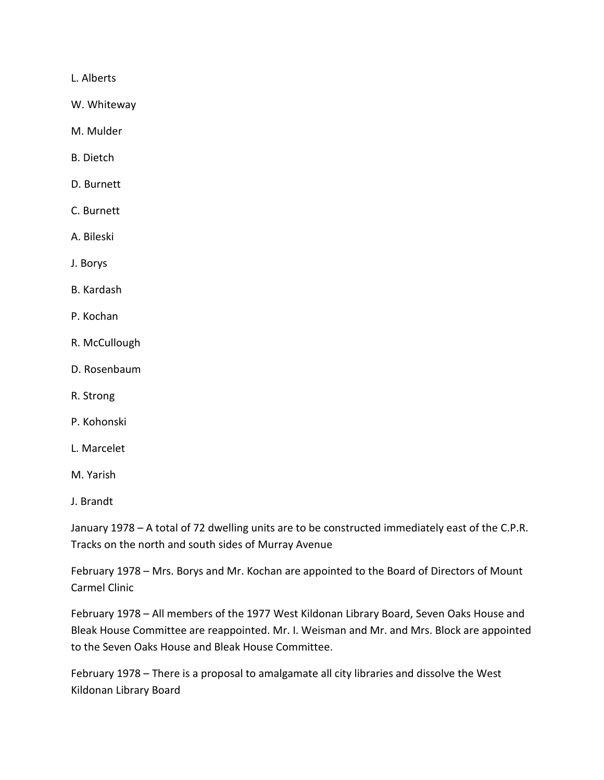L. Alberts

W. Whiteway

M. Mulder

- B. Dietch
- D. Burnett
- C. Burnett
- A. Bileski
- J. Borys
- B. Kardash
- P. Kochan
- R. McCullough
- D. Rosenbaum
- R. Strong
- P. Kohonski
- L. Marcelet
- M. Yarish
- J. Brandt

January 1978 – A total of 72 dwelling units are to be constructed immediately east of the C.P.R. Tracks on the north and south sides of Murray Avenue

February 1978 – Mrs. Borys and Mr. Kochan are appointed to the Board of Directors of Mount Carmel Clinic

February 1978 – All members of the 1977 West Kildonan Library Board, Seven Oaks House and Bleak House Committee are reappointed. Mr. I. Weisman and Mr. and Mrs. Block are appointed to the Seven Oaks House and Bleak House Committee.

February 1978 – There is a proposal to amalgamate all city libraries and dissolve the West Kildonan Library Board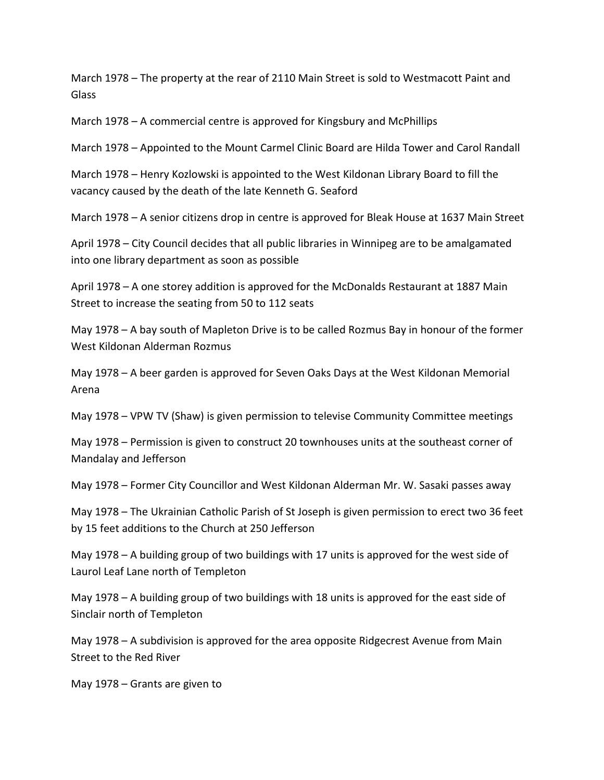March 1978 – The property at the rear of 2110 Main Street is sold to Westmacott Paint and Glass

March 1978 – A commercial centre is approved for Kingsbury and McPhillips

March 1978 – Appointed to the Mount Carmel Clinic Board are Hilda Tower and Carol Randall

March 1978 – Henry Kozlowski is appointed to the West Kildonan Library Board to fill the vacancy caused by the death of the late Kenneth G. Seaford

March 1978 – A senior citizens drop in centre is approved for Bleak House at 1637 Main Street

April 1978 – City Council decides that all public libraries in Winnipeg are to be amalgamated into one library department as soon as possible

April 1978 – A one storey addition is approved for the McDonalds Restaurant at 1887 Main Street to increase the seating from 50 to 112 seats

May 1978 – A bay south of Mapleton Drive is to be called Rozmus Bay in honour of the former West Kildonan Alderman Rozmus

May 1978 – A beer garden is approved for Seven Oaks Days at the West Kildonan Memorial Arena

May 1978 – VPW TV (Shaw) is given permission to televise Community Committee meetings

May 1978 – Permission is given to construct 20 townhouses units at the southeast corner of Mandalay and Jefferson

May 1978 – Former City Councillor and West Kildonan Alderman Mr. W. Sasaki passes away

May 1978 – The Ukrainian Catholic Parish of St Joseph is given permission to erect two 36 feet by 15 feet additions to the Church at 250 Jefferson

May 1978 – A building group of two buildings with 17 units is approved for the west side of Laurol Leaf Lane north of Templeton

May 1978 – A building group of two buildings with 18 units is approved for the east side of Sinclair north of Templeton

May 1978 – A subdivision is approved for the area opposite Ridgecrest Avenue from Main Street to the Red River

May 1978 – Grants are given to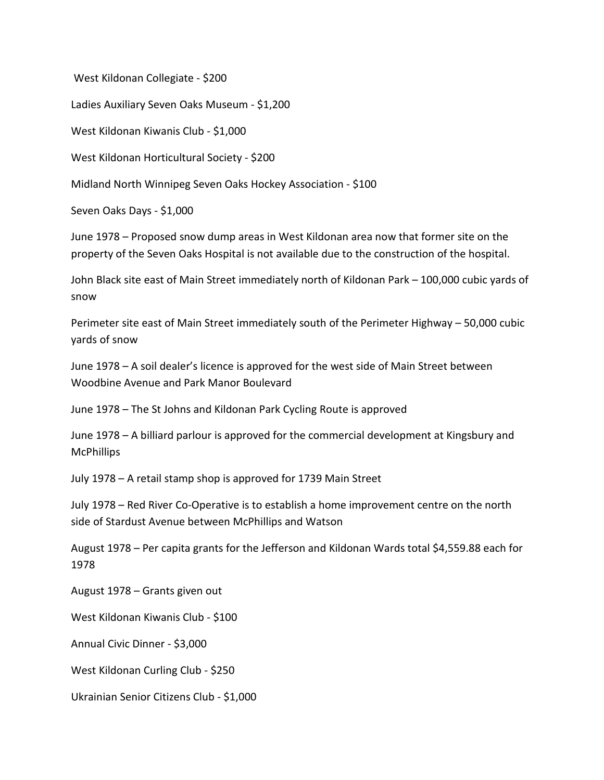West Kildonan Collegiate - \$200

Ladies Auxiliary Seven Oaks Museum - \$1,200

West Kildonan Kiwanis Club - \$1,000

West Kildonan Horticultural Society - \$200

Midland North Winnipeg Seven Oaks Hockey Association - \$100

Seven Oaks Days - \$1,000

June 1978 – Proposed snow dump areas in West Kildonan area now that former site on the property of the Seven Oaks Hospital is not available due to the construction of the hospital.

John Black site east of Main Street immediately north of Kildonan Park – 100,000 cubic yards of snow

Perimeter site east of Main Street immediately south of the Perimeter Highway – 50,000 cubic yards of snow

June 1978 – A soil dealer's licence is approved for the west side of Main Street between Woodbine Avenue and Park Manor Boulevard

June 1978 – The St Johns and Kildonan Park Cycling Route is approved

June 1978 – A billiard parlour is approved for the commercial development at Kingsbury and **McPhillips** 

July 1978 – A retail stamp shop is approved for 1739 Main Street

July 1978 – Red River Co-Operative is to establish a home improvement centre on the north side of Stardust Avenue between McPhillips and Watson

August 1978 – Per capita grants for the Jefferson and Kildonan Wards total \$4,559.88 each for 1978

August 1978 – Grants given out

West Kildonan Kiwanis Club - \$100

Annual Civic Dinner - \$3,000

West Kildonan Curling Club - \$250

Ukrainian Senior Citizens Club - \$1,000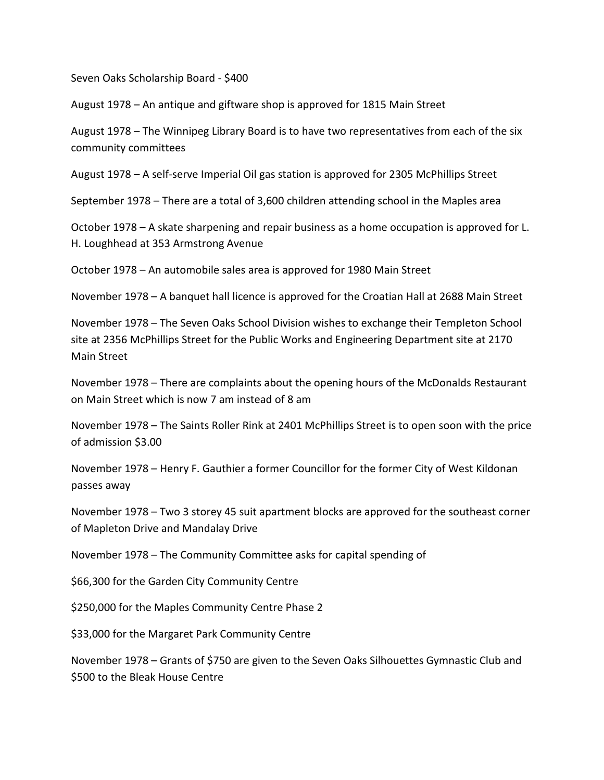Seven Oaks Scholarship Board - \$400

August 1978 – An antique and giftware shop is approved for 1815 Main Street

August 1978 – The Winnipeg Library Board is to have two representatives from each of the six community committees

August 1978 – A self-serve Imperial Oil gas station is approved for 2305 McPhillips Street

September 1978 – There are a total of 3,600 children attending school in the Maples area

October 1978 – A skate sharpening and repair business as a home occupation is approved for L. H. Loughhead at 353 Armstrong Avenue

October 1978 – An automobile sales area is approved for 1980 Main Street

November 1978 – A banquet hall licence is approved for the Croatian Hall at 2688 Main Street

November 1978 – The Seven Oaks School Division wishes to exchange their Templeton School site at 2356 McPhillips Street for the Public Works and Engineering Department site at 2170 Main Street

November 1978 – There are complaints about the opening hours of the McDonalds Restaurant on Main Street which is now 7 am instead of 8 am

November 1978 – The Saints Roller Rink at 2401 McPhillips Street is to open soon with the price of admission \$3.00

November 1978 – Henry F. Gauthier a former Councillor for the former City of West Kildonan passes away

November 1978 – Two 3 storey 45 suit apartment blocks are approved for the southeast corner of Mapleton Drive and Mandalay Drive

November 1978 – The Community Committee asks for capital spending of

\$66,300 for the Garden City Community Centre

\$250,000 for the Maples Community Centre Phase 2

\$33,000 for the Margaret Park Community Centre

November 1978 – Grants of \$750 are given to the Seven Oaks Silhouettes Gymnastic Club and \$500 to the Bleak House Centre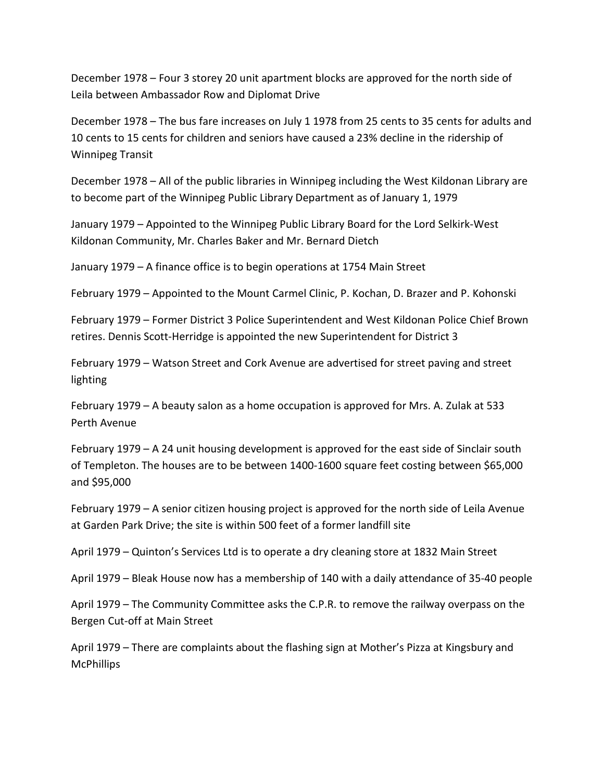December 1978 – Four 3 storey 20 unit apartment blocks are approved for the north side of Leila between Ambassador Row and Diplomat Drive

December 1978 – The bus fare increases on July 1 1978 from 25 cents to 35 cents for adults and 10 cents to 15 cents for children and seniors have caused a 23% decline in the ridership of Winnipeg Transit

December 1978 – All of the public libraries in Winnipeg including the West Kildonan Library are to become part of the Winnipeg Public Library Department as of January 1, 1979

January 1979 – Appointed to the Winnipeg Public Library Board for the Lord Selkirk-West Kildonan Community, Mr. Charles Baker and Mr. Bernard Dietch

January 1979 – A finance office is to begin operations at 1754 Main Street

February 1979 – Appointed to the Mount Carmel Clinic, P. Kochan, D. Brazer and P. Kohonski

February 1979 – Former District 3 Police Superintendent and West Kildonan Police Chief Brown retires. Dennis Scott-Herridge is appointed the new Superintendent for District 3

February 1979 – Watson Street and Cork Avenue are advertised for street paving and street lighting

February 1979 – A beauty salon as a home occupation is approved for Mrs. A. Zulak at 533 Perth Avenue

February 1979 – A 24 unit housing development is approved for the east side of Sinclair south of Templeton. The houses are to be between 1400-1600 square feet costing between \$65,000 and \$95,000

February 1979 – A senior citizen housing project is approved for the north side of Leila Avenue at Garden Park Drive; the site is within 500 feet of a former landfill site

April 1979 – Quinton's Services Ltd is to operate a dry cleaning store at 1832 Main Street

April 1979 – Bleak House now has a membership of 140 with a daily attendance of 35-40 people

April 1979 – The Community Committee asks the C.P.R. to remove the railway overpass on the Bergen Cut-off at Main Street

April 1979 – There are complaints about the flashing sign at Mother's Pizza at Kingsbury and **McPhillips**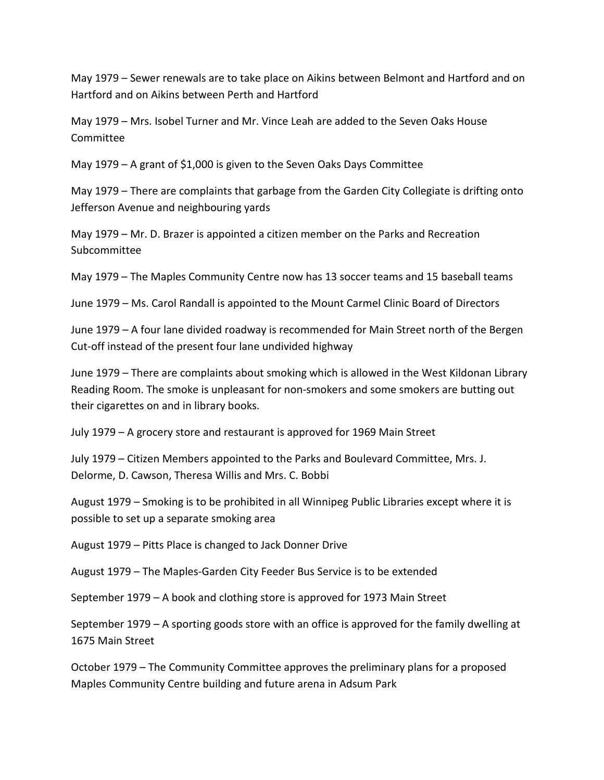May 1979 – Sewer renewals are to take place on Aikins between Belmont and Hartford and on Hartford and on Aikins between Perth and Hartford

May 1979 – Mrs. Isobel Turner and Mr. Vince Leah are added to the Seven Oaks House Committee

May 1979 – A grant of \$1,000 is given to the Seven Oaks Days Committee

May 1979 – There are complaints that garbage from the Garden City Collegiate is drifting onto Jefferson Avenue and neighbouring yards

May 1979 – Mr. D. Brazer is appointed a citizen member on the Parks and Recreation Subcommittee

May 1979 – The Maples Community Centre now has 13 soccer teams and 15 baseball teams

June 1979 – Ms. Carol Randall is appointed to the Mount Carmel Clinic Board of Directors

June 1979 – A four lane divided roadway is recommended for Main Street north of the Bergen Cut-off instead of the present four lane undivided highway

June 1979 – There are complaints about smoking which is allowed in the West Kildonan Library Reading Room. The smoke is unpleasant for non-smokers and some smokers are butting out their cigarettes on and in library books.

July 1979 – A grocery store and restaurant is approved for 1969 Main Street

July 1979 – Citizen Members appointed to the Parks and Boulevard Committee, Mrs. J. Delorme, D. Cawson, Theresa Willis and Mrs. C. Bobbi

August 1979 – Smoking is to be prohibited in all Winnipeg Public Libraries except where it is possible to set up a separate smoking area

August 1979 – Pitts Place is changed to Jack Donner Drive

August 1979 – The Maples-Garden City Feeder Bus Service is to be extended

September 1979 – A book and clothing store is approved for 1973 Main Street

September 1979 – A sporting goods store with an office is approved for the family dwelling at 1675 Main Street

October 1979 – The Community Committee approves the preliminary plans for a proposed Maples Community Centre building and future arena in Adsum Park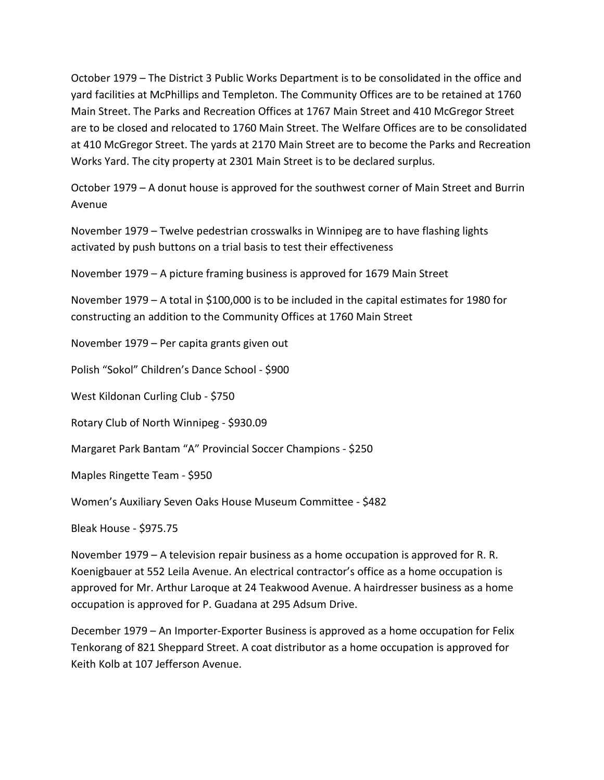October 1979 – The District 3 Public Works Department is to be consolidated in the office and yard facilities at McPhillips and Templeton. The Community Offices are to be retained at 1760 Main Street. The Parks and Recreation Offices at 1767 Main Street and 410 McGregor Street are to be closed and relocated to 1760 Main Street. The Welfare Offices are to be consolidated at 410 McGregor Street. The yards at 2170 Main Street are to become the Parks and Recreation Works Yard. The city property at 2301 Main Street is to be declared surplus.

October 1979 – A donut house is approved for the southwest corner of Main Street and Burrin Avenue

November 1979 – Twelve pedestrian crosswalks in Winnipeg are to have flashing lights activated by push buttons on a trial basis to test their effectiveness

November 1979 – A picture framing business is approved for 1679 Main Street

November 1979 – A total in \$100,000 is to be included in the capital estimates for 1980 for constructing an addition to the Community Offices at 1760 Main Street

November 1979 – Per capita grants given out

Polish "Sokol" Children's Dance School - \$900

West Kildonan Curling Club - \$750

Rotary Club of North Winnipeg - \$930.09

Margaret Park Bantam "A" Provincial Soccer Champions - \$250

Maples Ringette Team - \$950

Women's Auxiliary Seven Oaks House Museum Committee - \$482

Bleak House - \$975.75

November 1979 – A television repair business as a home occupation is approved for R. R. Koenigbauer at 552 Leila Avenue. An electrical contractor's office as a home occupation is approved for Mr. Arthur Laroque at 24 Teakwood Avenue. A hairdresser business as a home occupation is approved for P. Guadana at 295 Adsum Drive.

December 1979 – An Importer-Exporter Business is approved as a home occupation for Felix Tenkorang of 821 Sheppard Street. A coat distributor as a home occupation is approved for Keith Kolb at 107 Jefferson Avenue.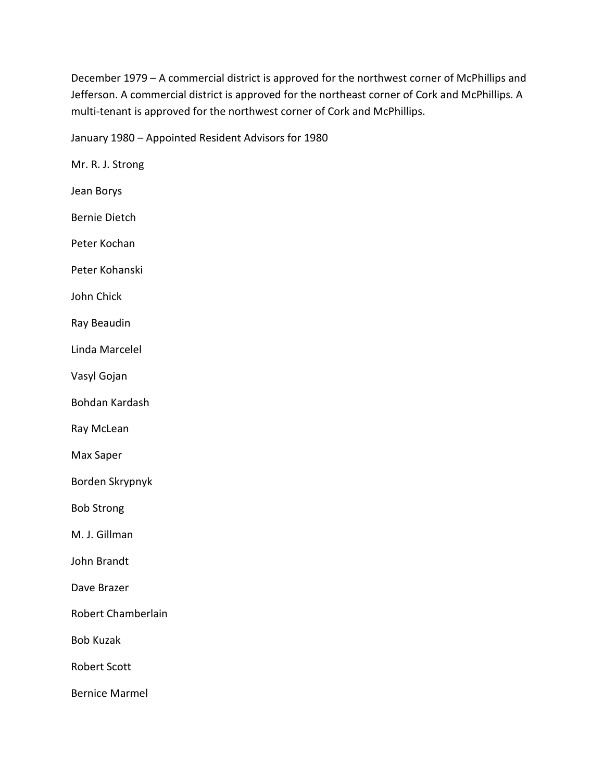December 1979 – A commercial district is approved for the northwest corner of McPhillips and Jefferson. A commercial district is approved for the northeast corner of Cork and McPhillips. A multi-tenant is approved for the northwest corner of Cork and McPhillips.

January 1980 – Appointed Resident Advisors for 1980

Mr. R. J. Strong Jean Borys Bernie Dietch Peter Kochan Peter Kohanski John Chick Ray Beaudin Linda Marcelel Vasyl Gojan Bohdan Kardash Ray McLean Max Saper Borden Skrypnyk Bob Strong M. J. Gillman John Brandt Dave Brazer Robert Chamberlain Bob Kuzak Robert Scott Bernice Marmel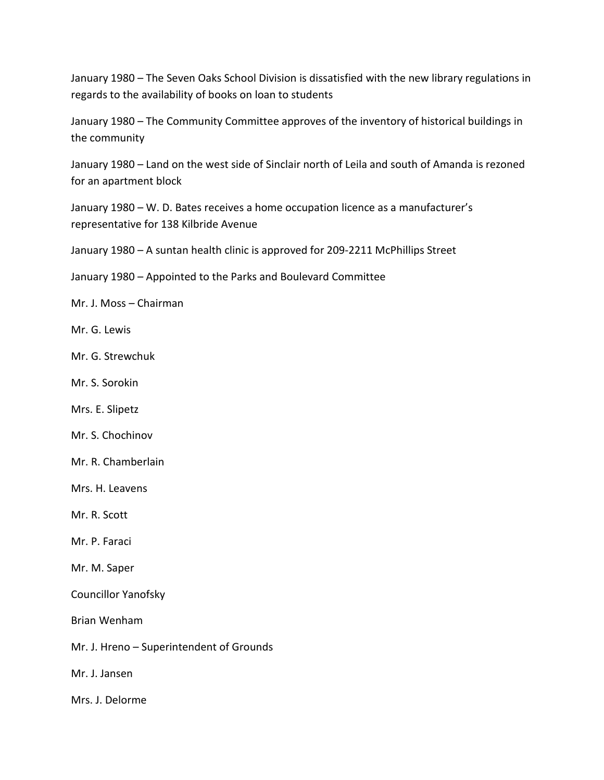January 1980 – The Seven Oaks School Division is dissatisfied with the new library regulations in regards to the availability of books on loan to students

January 1980 – The Community Committee approves of the inventory of historical buildings in the community

January 1980 – Land on the west side of Sinclair north of Leila and south of Amanda is rezoned for an apartment block

January 1980 – W. D. Bates receives a home occupation licence as a manufacturer's representative for 138 Kilbride Avenue

January 1980 – A suntan health clinic is approved for 209-2211 McPhillips Street

January 1980 – Appointed to the Parks and Boulevard Committee

Mr. J. Moss – Chairman

Mr. G. Lewis

Mr. G. Strewchuk

Mr. S. Sorokin

Mrs. E. Slipetz

Mr. S. Chochinov

Mr. R. Chamberlain

Mrs. H. Leavens

Mr. R. Scott

Mr. P. Faraci

Mr. M. Saper

Councillor Yanofsky

Brian Wenham

Mr. J. Hreno – Superintendent of Grounds

Mr. J. Jansen

Mrs. J. Delorme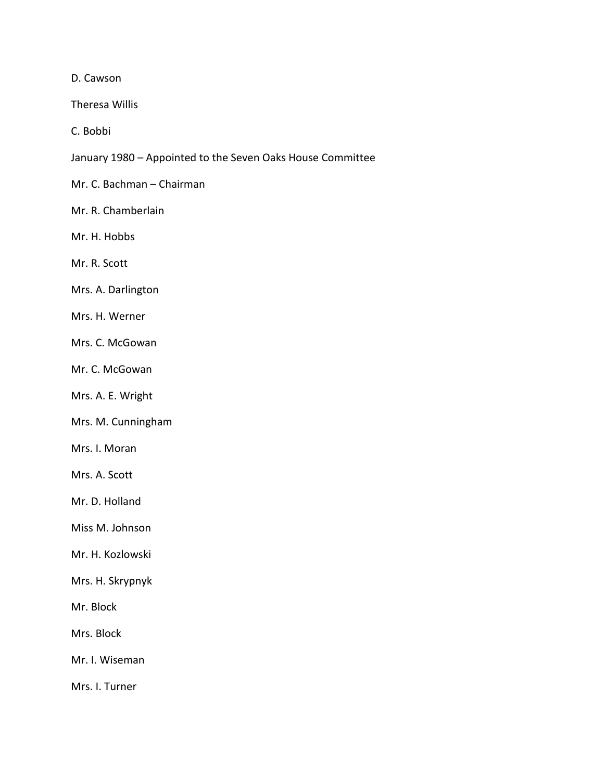D. Cawson

Theresa Willis

C. Bobbi

- January 1980 Appointed to the Seven Oaks House Committee
- Mr. C. Bachman Chairman
- Mr. R. Chamberlain
- Mr. H. Hobbs

Mr. R. Scott

- Mrs. A. Darlington
- Mrs. H. Werner
- Mrs. C. McGowan
- Mr. C. McGowan
- Mrs. A. E. Wright
- Mrs. M. Cunningham
- Mrs. I. Moran
- Mrs. A. Scott
- Mr. D. Holland
- Miss M. Johnson
- Mr. H. Kozlowski
- Mrs. H. Skrypnyk
- Mr. Block
- Mrs. Block
- Mr. I. Wiseman
- Mrs. I. Turner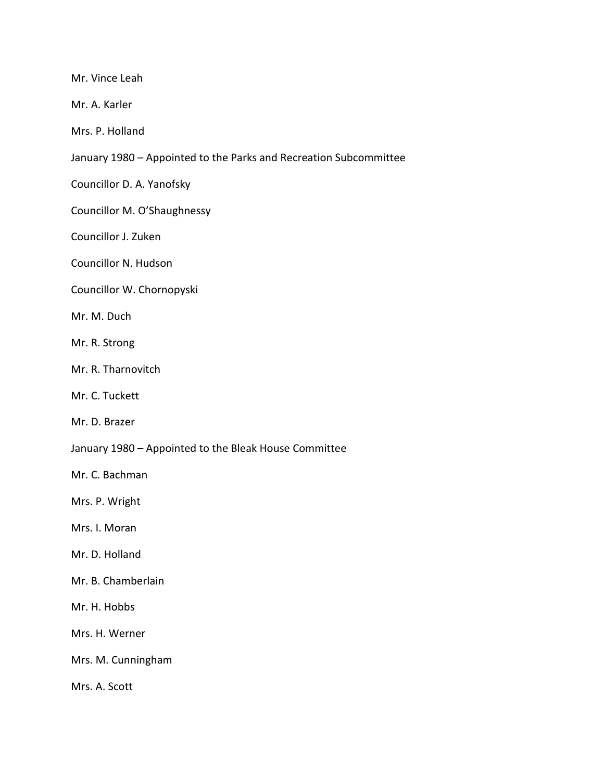Mr. Vince Leah

Mr. A. Karler

Mrs. P. Holland

January 1980 – Appointed to the Parks and Recreation Subcommittee

Councillor D. A. Yanofsky

Councillor M. O'Shaughnessy

Councillor J. Zuken

Councillor N. Hudson

Councillor W. Chornopyski

Mr. M. Duch

- Mr. R. Strong
- Mr. R. Tharnovitch
- Mr. C. Tuckett

Mr. D. Brazer

January 1980 – Appointed to the Bleak House Committee

Mr. C. Bachman

Mrs. P. Wright

Mrs. I. Moran

Mr. D. Holland

Mr. B. Chamberlain

Mr. H. Hobbs

Mrs. H. Werner

Mrs. M. Cunningham

Mrs. A. Scott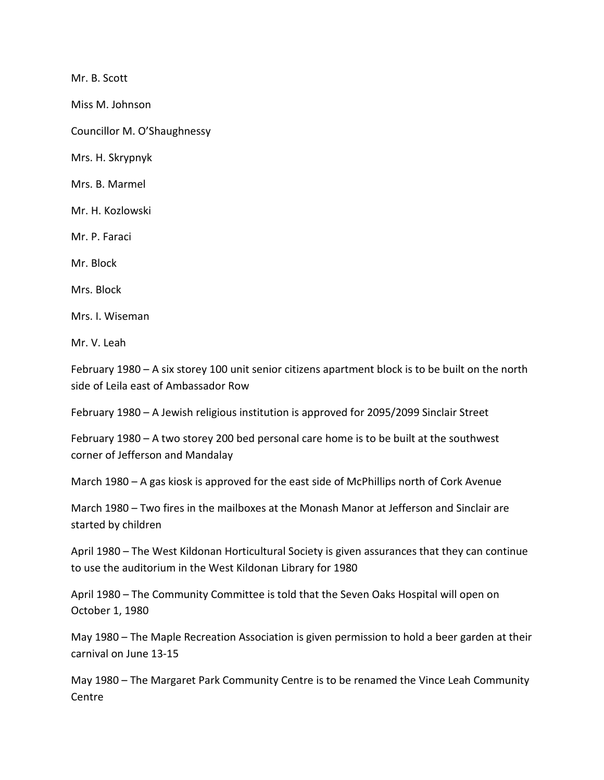Mr. B. Scott

Miss M. Johnson

Councillor M. O'Shaughnessy

Mrs. H. Skrypnyk

Mrs. B. Marmel

Mr. H. Kozlowski

Mr. P. Faraci

Mr. Block

Mrs. Block

Mrs. I. Wiseman

Mr. V. Leah

February 1980 – A six storey 100 unit senior citizens apartment block is to be built on the north side of Leila east of Ambassador Row

February 1980 – A Jewish religious institution is approved for 2095/2099 Sinclair Street

February 1980 – A two storey 200 bed personal care home is to be built at the southwest corner of Jefferson and Mandalay

March 1980 – A gas kiosk is approved for the east side of McPhillips north of Cork Avenue

March 1980 – Two fires in the mailboxes at the Monash Manor at Jefferson and Sinclair are started by children

April 1980 – The West Kildonan Horticultural Society is given assurances that they can continue to use the auditorium in the West Kildonan Library for 1980

April 1980 – The Community Committee is told that the Seven Oaks Hospital will open on October 1, 1980

May 1980 – The Maple Recreation Association is given permission to hold a beer garden at their carnival on June 13-15

May 1980 – The Margaret Park Community Centre is to be renamed the Vince Leah Community Centre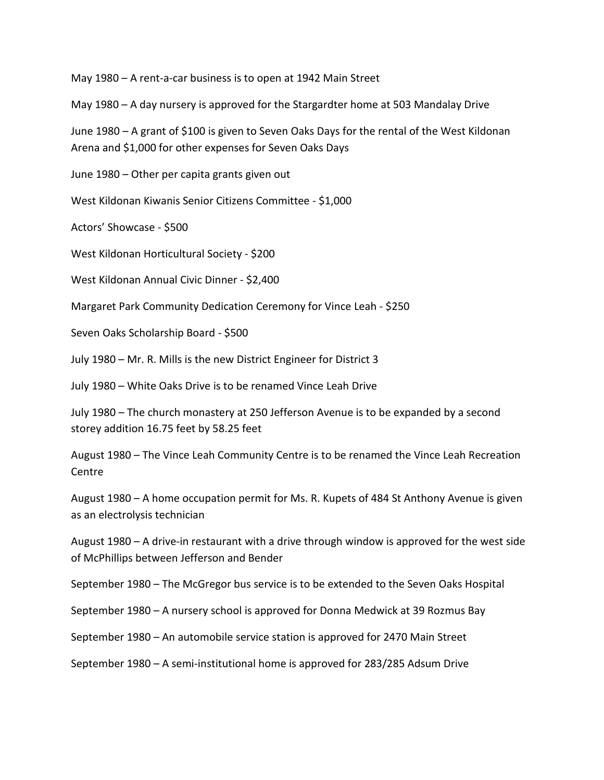May 1980 – A rent-a-car business is to open at 1942 Main Street

May 1980 – A day nursery is approved for the Stargardter home at 503 Mandalay Drive

June 1980 – A grant of \$100 is given to Seven Oaks Days for the rental of the West Kildonan Arena and \$1,000 for other expenses for Seven Oaks Days

June 1980 – Other per capita grants given out

West Kildonan Kiwanis Senior Citizens Committee - \$1,000

Actors' Showcase - \$500

West Kildonan Horticultural Society - \$200

West Kildonan Annual Civic Dinner - \$2,400

Margaret Park Community Dedication Ceremony for Vince Leah - \$250

Seven Oaks Scholarship Board - \$500

July 1980 – Mr. R. Mills is the new District Engineer for District 3

July 1980 – White Oaks Drive is to be renamed Vince Leah Drive

July 1980 – The church monastery at 250 Jefferson Avenue is to be expanded by a second storey addition 16.75 feet by 58.25 feet

August 1980 – The Vince Leah Community Centre is to be renamed the Vince Leah Recreation **Centre** 

August 1980 – A home occupation permit for Ms. R. Kupets of 484 St Anthony Avenue is given as an electrolysis technician

August 1980 – A drive-in restaurant with a drive through window is approved for the west side of McPhillips between Jefferson and Bender

September 1980 – The McGregor bus service is to be extended to the Seven Oaks Hospital

September 1980 – A nursery school is approved for Donna Medwick at 39 Rozmus Bay

September 1980 – An automobile service station is approved for 2470 Main Street

September 1980 – A semi-institutional home is approved for 283/285 Adsum Drive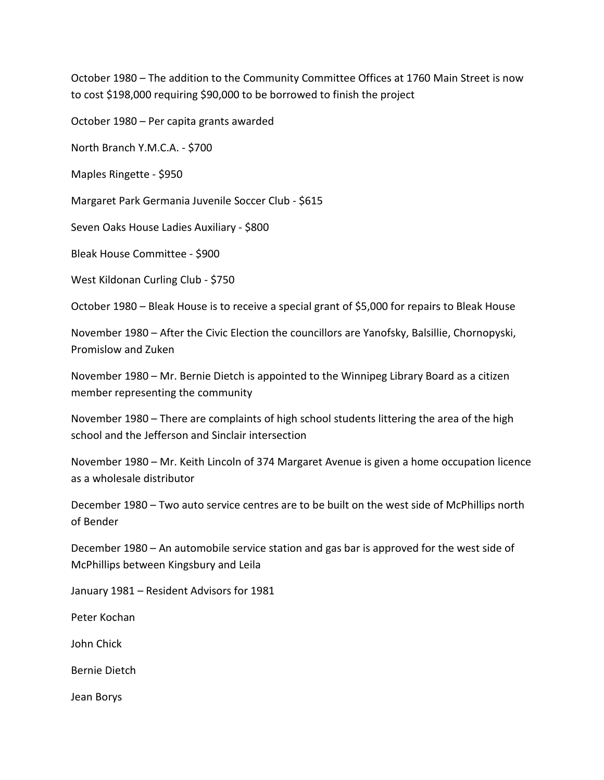October 1980 – The addition to the Community Committee Offices at 1760 Main Street is now to cost \$198,000 requiring \$90,000 to be borrowed to finish the project

October 1980 – Per capita grants awarded

North Branch Y.M.C.A. - \$700

Maples Ringette - \$950

Margaret Park Germania Juvenile Soccer Club - \$615

Seven Oaks House Ladies Auxiliary - \$800

Bleak House Committee - \$900

West Kildonan Curling Club - \$750

October 1980 – Bleak House is to receive a special grant of \$5,000 for repairs to Bleak House

November 1980 – After the Civic Election the councillors are Yanofsky, Balsillie, Chornopyski, Promislow and Zuken

November 1980 – Mr. Bernie Dietch is appointed to the Winnipeg Library Board as a citizen member representing the community

November 1980 – There are complaints of high school students littering the area of the high school and the Jefferson and Sinclair intersection

November 1980 – Mr. Keith Lincoln of 374 Margaret Avenue is given a home occupation licence as a wholesale distributor

December 1980 – Two auto service centres are to be built on the west side of McPhillips north of Bender

December 1980 – An automobile service station and gas bar is approved for the west side of McPhillips between Kingsbury and Leila

January 1981 – Resident Advisors for 1981

Peter Kochan

John Chick

Bernie Dietch

Jean Borys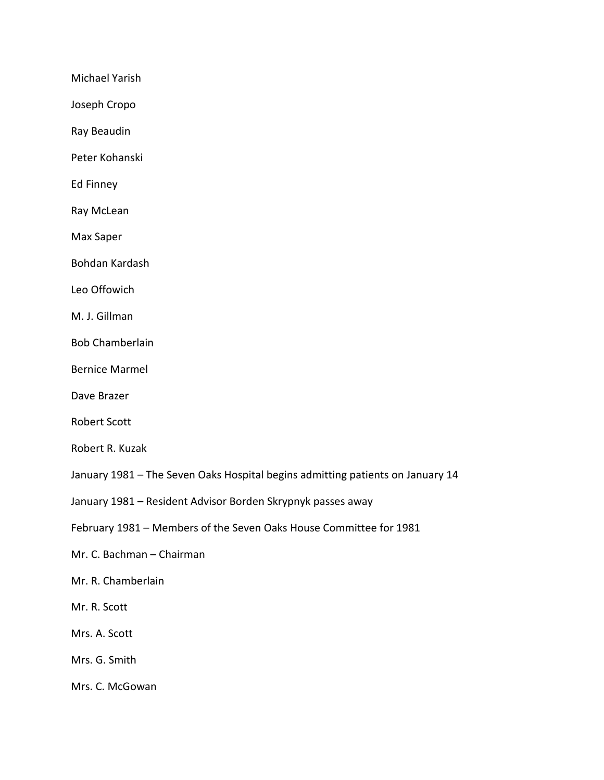Michael Yarish

Joseph Cropo

Ray Beaudin

Peter Kohanski

Ed Finney

Ray McLean

Max Saper

Bohdan Kardash

Leo Offowich

M. J. Gillman

Bob Chamberlain

Bernice Marmel

Dave Brazer

Robert Scott

Robert R. Kuzak

January 1981 – The Seven Oaks Hospital begins admitting patients on January 14

January 1981 – Resident Advisor Borden Skrypnyk passes away

February 1981 – Members of the Seven Oaks House Committee for 1981

Mr. C. Bachman – Chairman

Mr. R. Chamberlain

Mr. R. Scott

Mrs. A. Scott

Mrs. G. Smith

Mrs. C. McGowan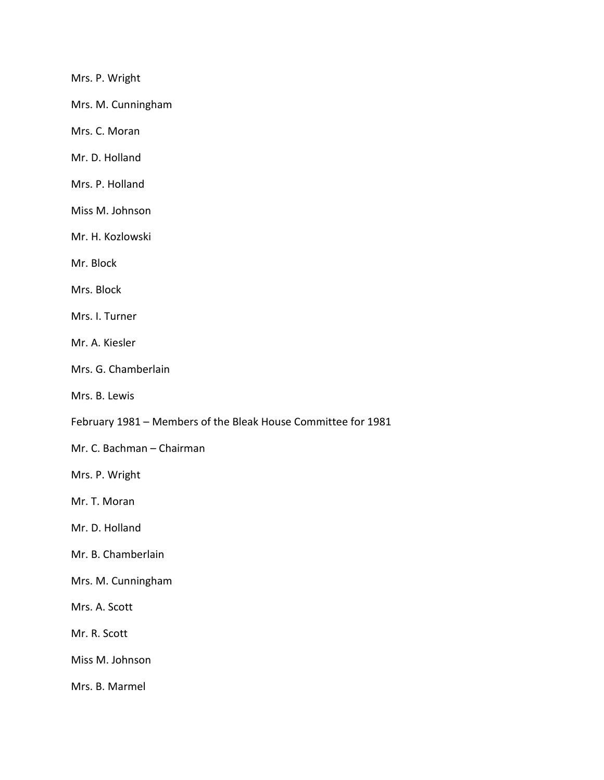Mrs. P. Wright

Mrs. M. Cunningham

Mrs. C. Moran

Mr. D. Holland

Mrs. P. Holland

Miss M. Johnson

Mr. H. Kozlowski

Mr. Block

Mrs. Block

Mrs. I. Turner

Mr. A. Kiesler

Mrs. G. Chamberlain

Mrs. B. Lewis

February 1981 – Members of the Bleak House Committee for 1981

Mr. C. Bachman – Chairman

Mrs. P. Wright

Mr. T. Moran

Mr. D. Holland

Mr. B. Chamberlain

Mrs. M. Cunningham

Mrs. A. Scott

Mr. R. Scott

Miss M. Johnson

Mrs. B. Marmel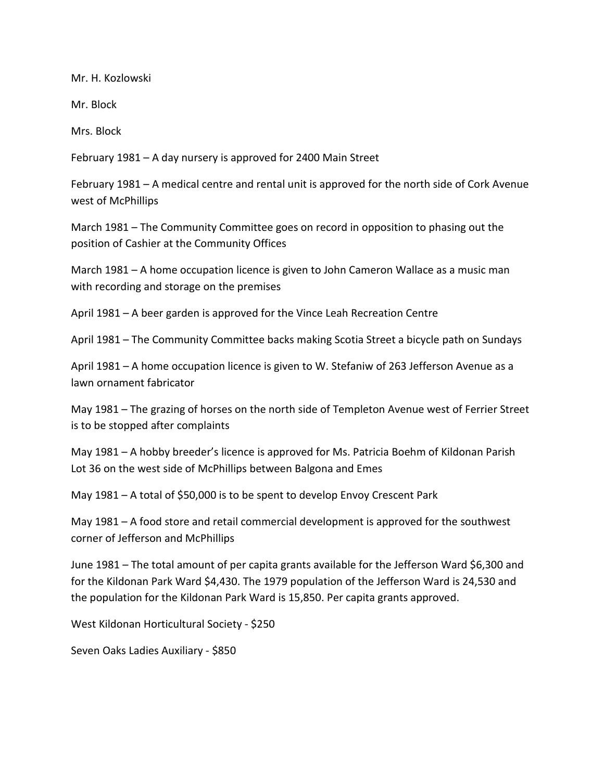Mr. H. Kozlowski

Mr. Block

Mrs. Block

February 1981 – A day nursery is approved for 2400 Main Street

February 1981 – A medical centre and rental unit is approved for the north side of Cork Avenue west of McPhillips

March 1981 – The Community Committee goes on record in opposition to phasing out the position of Cashier at the Community Offices

March 1981 – A home occupation licence is given to John Cameron Wallace as a music man with recording and storage on the premises

April 1981 – A beer garden is approved for the Vince Leah Recreation Centre

April 1981 – The Community Committee backs making Scotia Street a bicycle path on Sundays

April 1981 – A home occupation licence is given to W. Stefaniw of 263 Jefferson Avenue as a lawn ornament fabricator

May 1981 – The grazing of horses on the north side of Templeton Avenue west of Ferrier Street is to be stopped after complaints

May 1981 – A hobby breeder's licence is approved for Ms. Patricia Boehm of Kildonan Parish Lot 36 on the west side of McPhillips between Balgona and Emes

May 1981 – A total of \$50,000 is to be spent to develop Envoy Crescent Park

May 1981 – A food store and retail commercial development is approved for the southwest corner of Jefferson and McPhillips

June 1981 – The total amount of per capita grants available for the Jefferson Ward \$6,300 and for the Kildonan Park Ward \$4,430. The 1979 population of the Jefferson Ward is 24,530 and the population for the Kildonan Park Ward is 15,850. Per capita grants approved.

West Kildonan Horticultural Society - \$250

Seven Oaks Ladies Auxiliary - \$850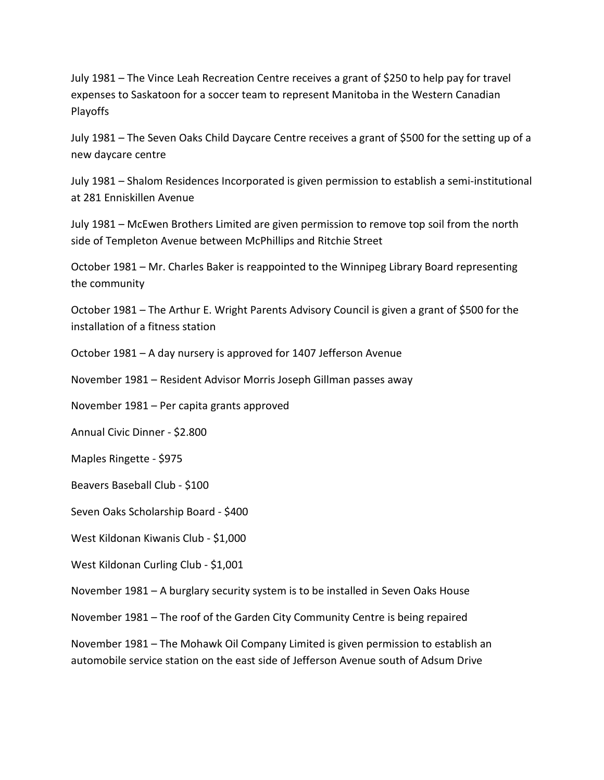July 1981 – The Vince Leah Recreation Centre receives a grant of \$250 to help pay for travel expenses to Saskatoon for a soccer team to represent Manitoba in the Western Canadian Playoffs

July 1981 – The Seven Oaks Child Daycare Centre receives a grant of \$500 for the setting up of a new daycare centre

July 1981 – Shalom Residences Incorporated is given permission to establish a semi-institutional at 281 Enniskillen Avenue

July 1981 – McEwen Brothers Limited are given permission to remove top soil from the north side of Templeton Avenue between McPhillips and Ritchie Street

October 1981 – Mr. Charles Baker is reappointed to the Winnipeg Library Board representing the community

October 1981 – The Arthur E. Wright Parents Advisory Council is given a grant of \$500 for the installation of a fitness station

October 1981 – A day nursery is approved for 1407 Jefferson Avenue

November 1981 – Resident Advisor Morris Joseph Gillman passes away

November 1981 – Per capita grants approved

Annual Civic Dinner - \$2.800

Maples Ringette - \$975

Beavers Baseball Club - \$100

Seven Oaks Scholarship Board - \$400

West Kildonan Kiwanis Club - \$1,000

West Kildonan Curling Club - \$1,001

November 1981 – A burglary security system is to be installed in Seven Oaks House

November 1981 – The roof of the Garden City Community Centre is being repaired

November 1981 – The Mohawk Oil Company Limited is given permission to establish an automobile service station on the east side of Jefferson Avenue south of Adsum Drive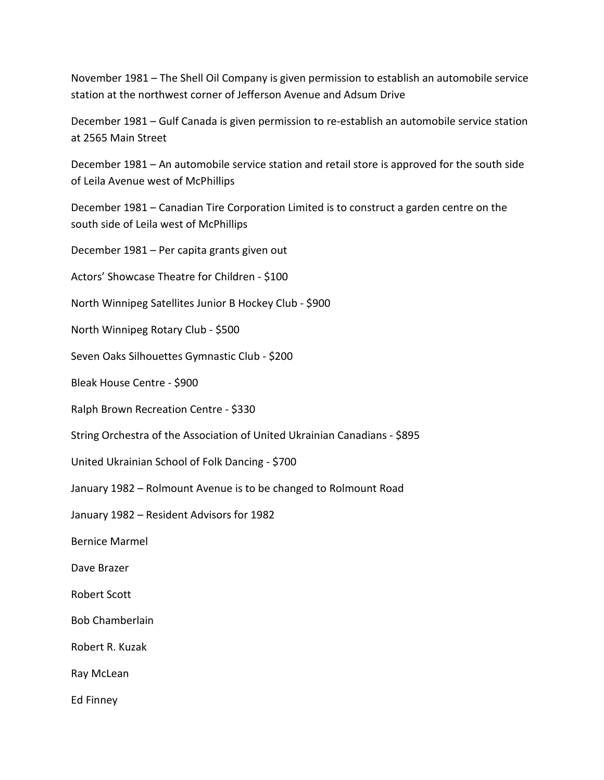November 1981 – The Shell Oil Company is given permission to establish an automobile service station at the northwest corner of Jefferson Avenue and Adsum Drive

December 1981 – Gulf Canada is given permission to re-establish an automobile service station at 2565 Main Street

December 1981 – An automobile service station and retail store is approved for the south side of Leila Avenue west of McPhillips

December 1981 – Canadian Tire Corporation Limited is to construct a garden centre on the south side of Leila west of McPhillips

December 1981 – Per capita grants given out

Actors' Showcase Theatre for Children - \$100

North Winnipeg Satellites Junior B Hockey Club - \$900

North Winnipeg Rotary Club - \$500

Seven Oaks Silhouettes Gymnastic Club - \$200

Bleak House Centre - \$900

Ralph Brown Recreation Centre - \$330

String Orchestra of the Association of United Ukrainian Canadians - \$895

United Ukrainian School of Folk Dancing - \$700

January 1982 – Rolmount Avenue is to be changed to Rolmount Road

January 1982 – Resident Advisors for 1982

Bernice Marmel

Dave Brazer

Robert Scott

Bob Chamberlain

Robert R. Kuzak

Ray McLean

Ed Finney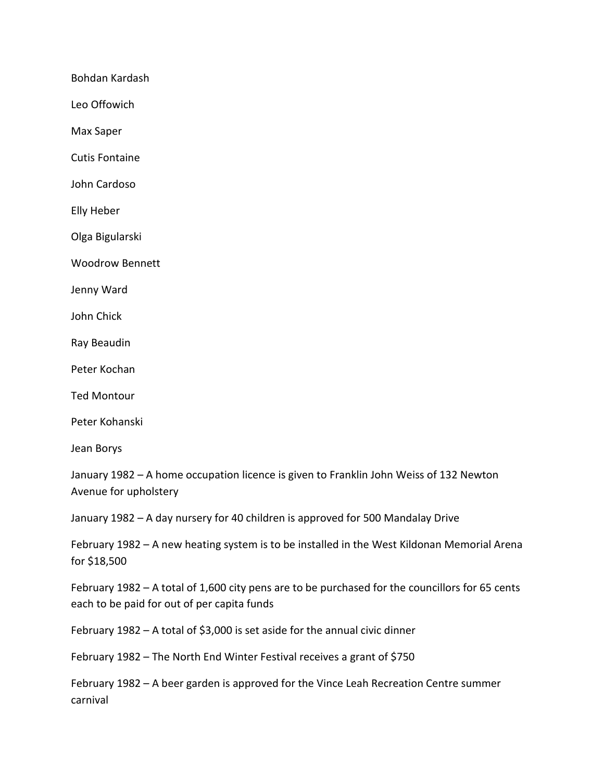Bohdan Kardash

Leo Offowich

Max Saper

Cutis Fontaine

John Cardoso

Elly Heber

Olga Bigularski

Woodrow Bennett

Jenny Ward

John Chick

Ray Beaudin

Peter Kochan

Ted Montour

Peter Kohanski

Jean Borys

January 1982 – A home occupation licence is given to Franklin John Weiss of 132 Newton Avenue for upholstery

January 1982 – A day nursery for 40 children is approved for 500 Mandalay Drive

February 1982 – A new heating system is to be installed in the West Kildonan Memorial Arena for \$18,500

February 1982 – A total of 1,600 city pens are to be purchased for the councillors for 65 cents each to be paid for out of per capita funds

February 1982 – A total of \$3,000 is set aside for the annual civic dinner

February 1982 – The North End Winter Festival receives a grant of \$750

February 1982 – A beer garden is approved for the Vince Leah Recreation Centre summer carnival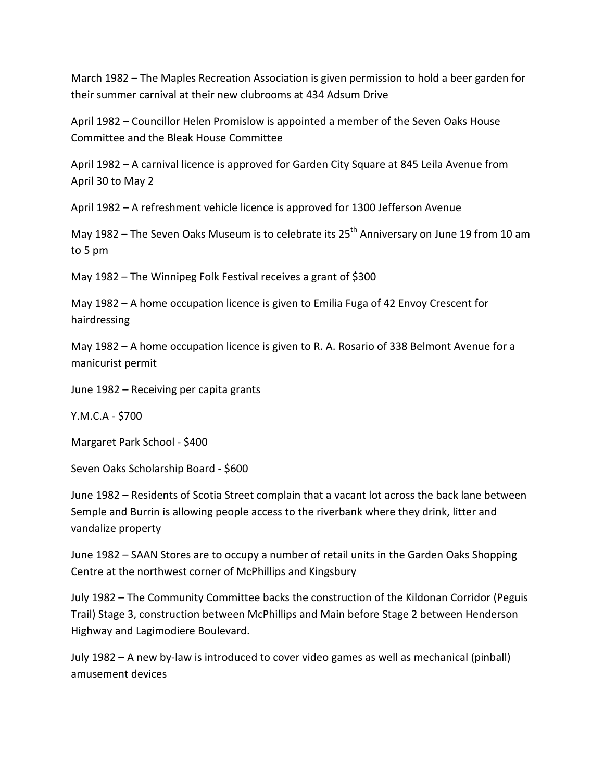March 1982 – The Maples Recreation Association is given permission to hold a beer garden for their summer carnival at their new clubrooms at 434 Adsum Drive

April 1982 – Councillor Helen Promislow is appointed a member of the Seven Oaks House Committee and the Bleak House Committee

April 1982 – A carnival licence is approved for Garden City Square at 845 Leila Avenue from April 30 to May 2

April 1982 – A refreshment vehicle licence is approved for 1300 Jefferson Avenue

May 1982 – The Seven Oaks Museum is to celebrate its  $25<sup>th</sup>$  Anniversary on June 19 from 10 am to 5 pm

May 1982 – The Winnipeg Folk Festival receives a grant of \$300

May 1982 – A home occupation licence is given to Emilia Fuga of 42 Envoy Crescent for hairdressing

May 1982 – A home occupation licence is given to R. A. Rosario of 338 Belmont Avenue for a manicurist permit

June 1982 – Receiving per capita grants

Y.M.C.A - \$700

Margaret Park School - \$400

Seven Oaks Scholarship Board - \$600

June 1982 – Residents of Scotia Street complain that a vacant lot across the back lane between Semple and Burrin is allowing people access to the riverbank where they drink, litter and vandalize property

June 1982 – SAAN Stores are to occupy a number of retail units in the Garden Oaks Shopping Centre at the northwest corner of McPhillips and Kingsbury

July 1982 – The Community Committee backs the construction of the Kildonan Corridor (Peguis Trail) Stage 3, construction between McPhillips and Main before Stage 2 between Henderson Highway and Lagimodiere Boulevard.

July 1982 – A new by-law is introduced to cover video games as well as mechanical (pinball) amusement devices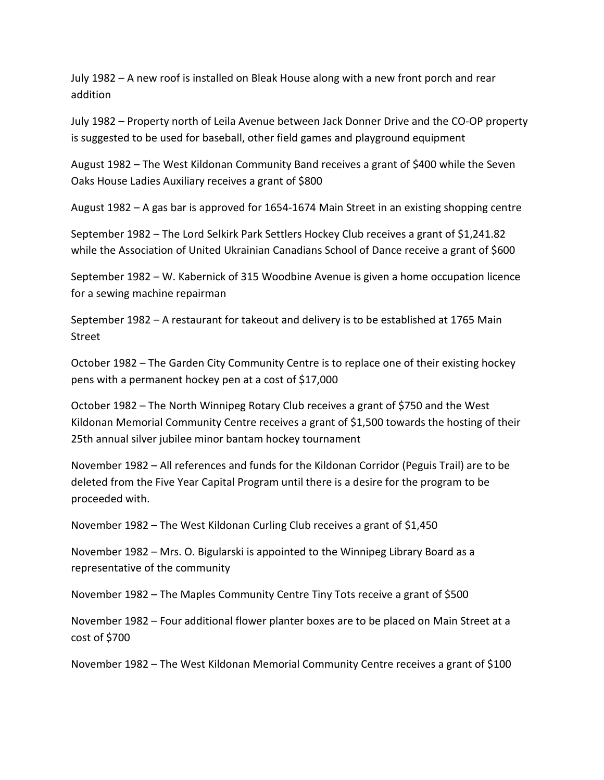July 1982 – A new roof is installed on Bleak House along with a new front porch and rear addition

July 1982 – Property north of Leila Avenue between Jack Donner Drive and the CO-OP property is suggested to be used for baseball, other field games and playground equipment

August 1982 – The West Kildonan Community Band receives a grant of \$400 while the Seven Oaks House Ladies Auxiliary receives a grant of \$800

August 1982 – A gas bar is approved for 1654-1674 Main Street in an existing shopping centre

September 1982 – The Lord Selkirk Park Settlers Hockey Club receives a grant of \$1,241.82 while the Association of United Ukrainian Canadians School of Dance receive a grant of \$600

September 1982 – W. Kabernick of 315 Woodbine Avenue is given a home occupation licence for a sewing machine repairman

September 1982 – A restaurant for takeout and delivery is to be established at 1765 Main Street

October 1982 – The Garden City Community Centre is to replace one of their existing hockey pens with a permanent hockey pen at a cost of \$17,000

October 1982 – The North Winnipeg Rotary Club receives a grant of \$750 and the West Kildonan Memorial Community Centre receives a grant of \$1,500 towards the hosting of their 25th annual silver jubilee minor bantam hockey tournament

November 1982 – All references and funds for the Kildonan Corridor (Peguis Trail) are to be deleted from the Five Year Capital Program until there is a desire for the program to be proceeded with.

November 1982 – The West Kildonan Curling Club receives a grant of \$1,450

November 1982 – Mrs. O. Bigularski is appointed to the Winnipeg Library Board as a representative of the community

November 1982 – The Maples Community Centre Tiny Tots receive a grant of \$500

November 1982 – Four additional flower planter boxes are to be placed on Main Street at a cost of \$700

November 1982 – The West Kildonan Memorial Community Centre receives a grant of \$100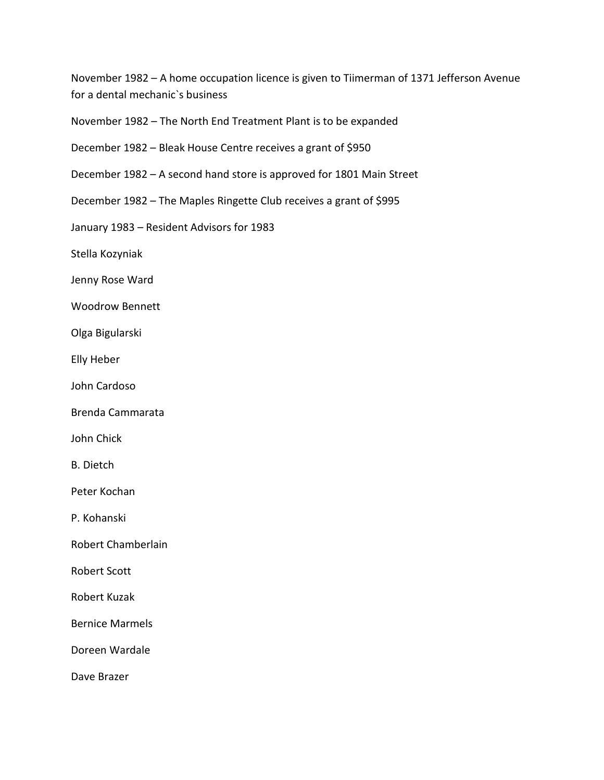November 1982 – A home occupation licence is given to Tiimerman of 1371 Jefferson Avenue for a dental mechanic`s business

- November 1982 The North End Treatment Plant is to be expanded
- December 1982 Bleak House Centre receives a grant of \$950
- December 1982 A second hand store is approved for 1801 Main Street
- December 1982 The Maples Ringette Club receives a grant of \$995
- January 1983 Resident Advisors for 1983
- Stella Kozyniak
- Jenny Rose Ward
- Woodrow Bennett
- Olga Bigularski
- Elly Heber
- John Cardoso
- Brenda Cammarata
- John Chick
- B. Dietch
- Peter Kochan
- P. Kohanski
- Robert Chamberlain
- Robert Scott
- Robert Kuzak
- Bernice Marmels
- Doreen Wardale
- Dave Brazer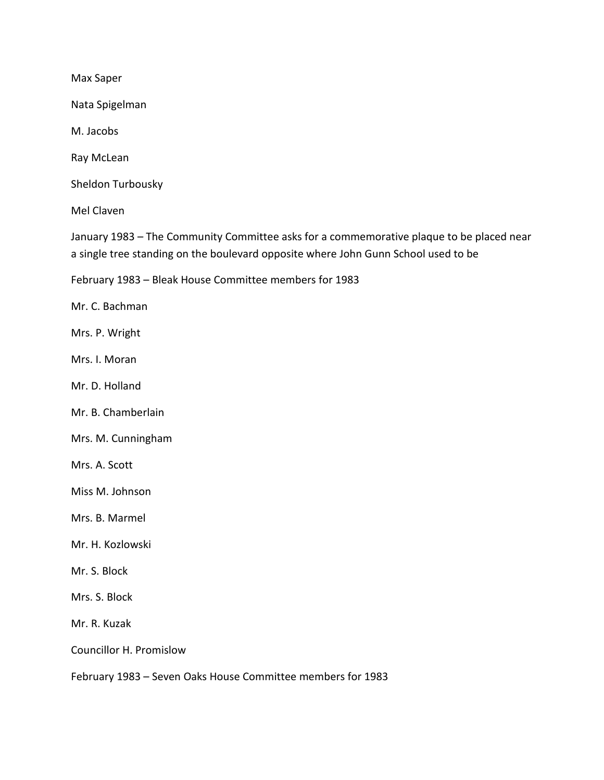Max Saper

Nata Spigelman

M. Jacobs

Ray McLean

Sheldon Turbousky

Mel Claven

January 1983 – The Community Committee asks for a commemorative plaque to be placed near a single tree standing on the boulevard opposite where John Gunn School used to be

February 1983 – Bleak House Committee members for 1983

Mr. C. Bachman

Mrs. P. Wright

Mrs. I. Moran

Mr. D. Holland

Mr. B. Chamberlain

Mrs. M. Cunningham

Mrs. A. Scott

Miss M. Johnson

Mrs. B. Marmel

Mr. H. Kozlowski

Mr. S. Block

Mrs. S. Block

Mr. R. Kuzak

Councillor H. Promislow

February 1983 – Seven Oaks House Committee members for 1983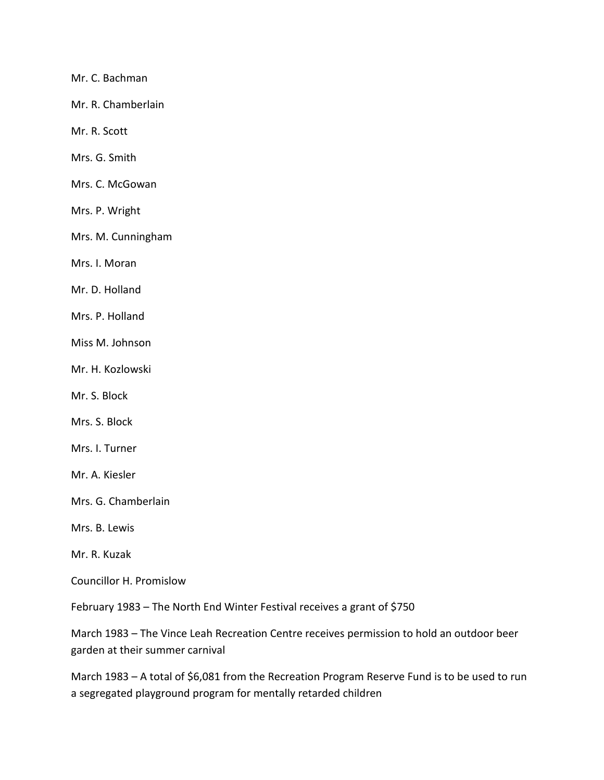Mr. C. Bachman

Mr. R. Chamberlain

Mr. R. Scott

Mrs. G. Smith

Mrs. C. McGowan

Mrs. P. Wright

Mrs. M. Cunningham

Mrs. I. Moran

Mr. D. Holland

Mrs. P. Holland

Miss M. Johnson

Mr. H. Kozlowski

Mr. S. Block

Mrs. S. Block

Mrs. I. Turner

Mr. A. Kiesler

Mrs. G. Chamberlain

Mrs. B. Lewis

Mr. R. Kuzak

Councillor H. Promislow

February 1983 – The North End Winter Festival receives a grant of \$750

March 1983 – The Vince Leah Recreation Centre receives permission to hold an outdoor beer garden at their summer carnival

March 1983 – A total of \$6,081 from the Recreation Program Reserve Fund is to be used to run a segregated playground program for mentally retarded children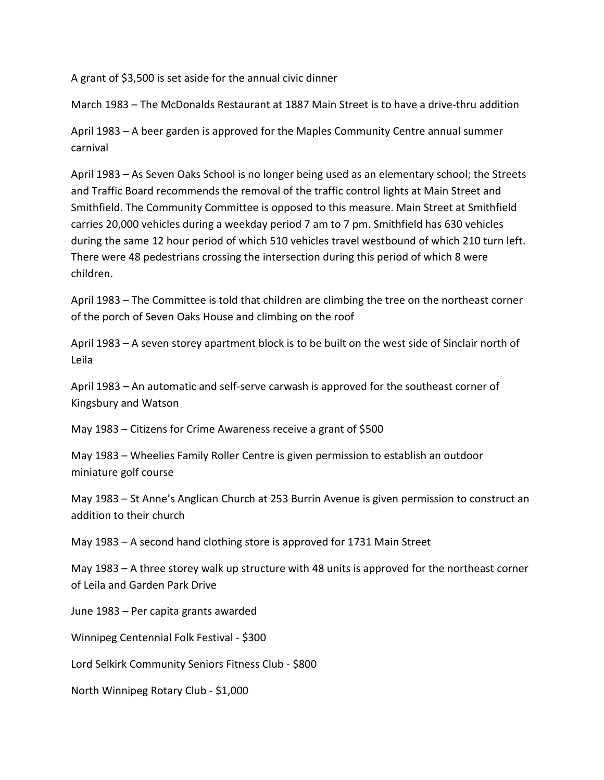A grant of \$3,500 is set aside for the annual civic dinner

March 1983 – The McDonalds Restaurant at 1887 Main Street is to have a drive-thru addition

April 1983 – A beer garden is approved for the Maples Community Centre annual summer carnival

April 1983 – As Seven Oaks School is no longer being used as an elementary school; the Streets and Traffic Board recommends the removal of the traffic control lights at Main Street and Smithfield. The Community Committee is opposed to this measure. Main Street at Smithfield carries 20,000 vehicles during a weekday period 7 am to 7 pm. Smithfield has 630 vehicles during the same 12 hour period of which 510 vehicles travel westbound of which 210 turn left. There were 48 pedestrians crossing the intersection during this period of which 8 were children.

April 1983 – The Committee is told that children are climbing the tree on the northeast corner of the porch of Seven Oaks House and climbing on the roof

April 1983 – A seven storey apartment block is to be built on the west side of Sinclair north of Leila

April 1983 – An automatic and self-serve carwash is approved for the southeast corner of Kingsbury and Watson

May 1983 – Citizens for Crime Awareness receive a grant of \$500

May 1983 – Wheelies Family Roller Centre is given permission to establish an outdoor miniature golf course

May 1983 – St Anne's Anglican Church at 253 Burrin Avenue is given permission to construct an addition to their church

May 1983 – A second hand clothing store is approved for 1731 Main Street

May 1983 – A three storey walk up structure with 48 units is approved for the northeast corner of Leila and Garden Park Drive

June 1983 – Per capita grants awarded

Winnipeg Centennial Folk Festival - \$300

Lord Selkirk Community Seniors Fitness Club - \$800

North Winnipeg Rotary Club - \$1,000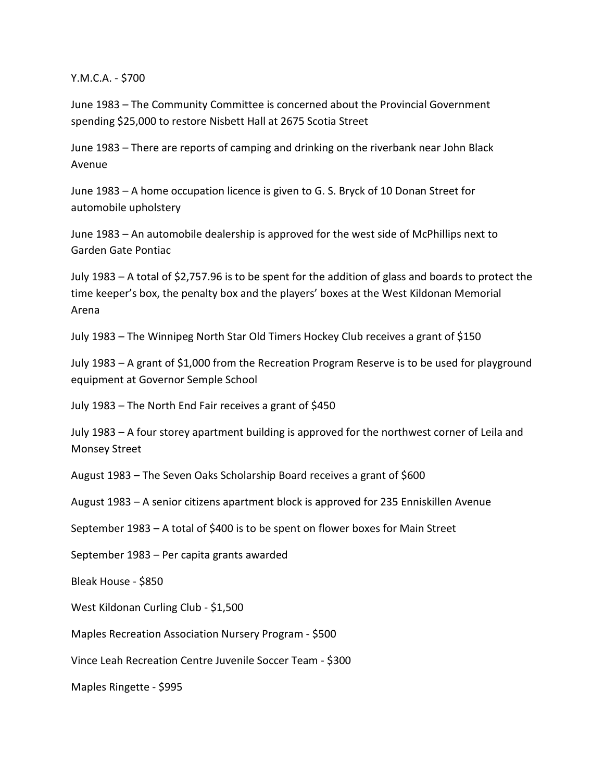Y.M.C.A. - \$700

June 1983 – The Community Committee is concerned about the Provincial Government spending \$25,000 to restore Nisbett Hall at 2675 Scotia Street

June 1983 – There are reports of camping and drinking on the riverbank near John Black Avenue

June 1983 – A home occupation licence is given to G. S. Bryck of 10 Donan Street for automobile upholstery

June 1983 – An automobile dealership is approved for the west side of McPhillips next to Garden Gate Pontiac

July 1983 – A total of \$2,757.96 is to be spent for the addition of glass and boards to protect the time keeper's box, the penalty box and the players' boxes at the West Kildonan Memorial Arena

July 1983 – The Winnipeg North Star Old Timers Hockey Club receives a grant of \$150

July 1983 – A grant of \$1,000 from the Recreation Program Reserve is to be used for playground equipment at Governor Semple School

July 1983 – The North End Fair receives a grant of \$450

July 1983 – A four storey apartment building is approved for the northwest corner of Leila and Monsey Street

August 1983 – The Seven Oaks Scholarship Board receives a grant of \$600

August 1983 – A senior citizens apartment block is approved for 235 Enniskillen Avenue

September 1983 – A total of \$400 is to be spent on flower boxes for Main Street

September 1983 – Per capita grants awarded

Bleak House - \$850

West Kildonan Curling Club - \$1,500

Maples Recreation Association Nursery Program - \$500

Vince Leah Recreation Centre Juvenile Soccer Team - \$300

Maples Ringette - \$995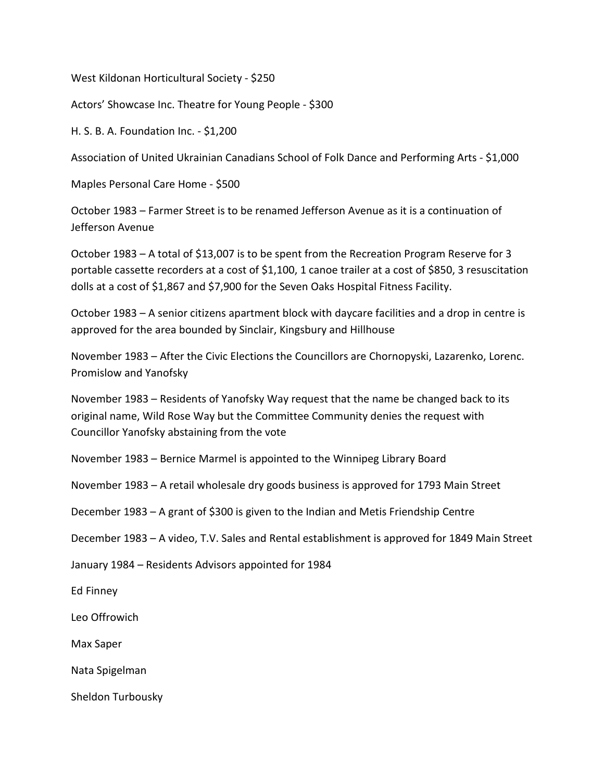West Kildonan Horticultural Society - \$250

Actors' Showcase Inc. Theatre for Young People - \$300

H. S. B. A. Foundation Inc. - \$1,200

Association of United Ukrainian Canadians School of Folk Dance and Performing Arts - \$1,000

Maples Personal Care Home - \$500

October 1983 – Farmer Street is to be renamed Jefferson Avenue as it is a continuation of Jefferson Avenue

October 1983 – A total of \$13,007 is to be spent from the Recreation Program Reserve for 3 portable cassette recorders at a cost of \$1,100, 1 canoe trailer at a cost of \$850, 3 resuscitation dolls at a cost of \$1,867 and \$7,900 for the Seven Oaks Hospital Fitness Facility.

October 1983 – A senior citizens apartment block with daycare facilities and a drop in centre is approved for the area bounded by Sinclair, Kingsbury and Hillhouse

November 1983 – After the Civic Elections the Councillors are Chornopyski, Lazarenko, Lorenc. Promislow and Yanofsky

November 1983 – Residents of Yanofsky Way request that the name be changed back to its original name, Wild Rose Way but the Committee Community denies the request with Councillor Yanofsky abstaining from the vote

November 1983 – Bernice Marmel is appointed to the Winnipeg Library Board

November 1983 – A retail wholesale dry goods business is approved for 1793 Main Street

December 1983 – A grant of \$300 is given to the Indian and Metis Friendship Centre

December 1983 – A video, T.V. Sales and Rental establishment is approved for 1849 Main Street

January 1984 – Residents Advisors appointed for 1984

Ed Finney

Leo Offrowich

Max Saper

Nata Spigelman

Sheldon Turbousky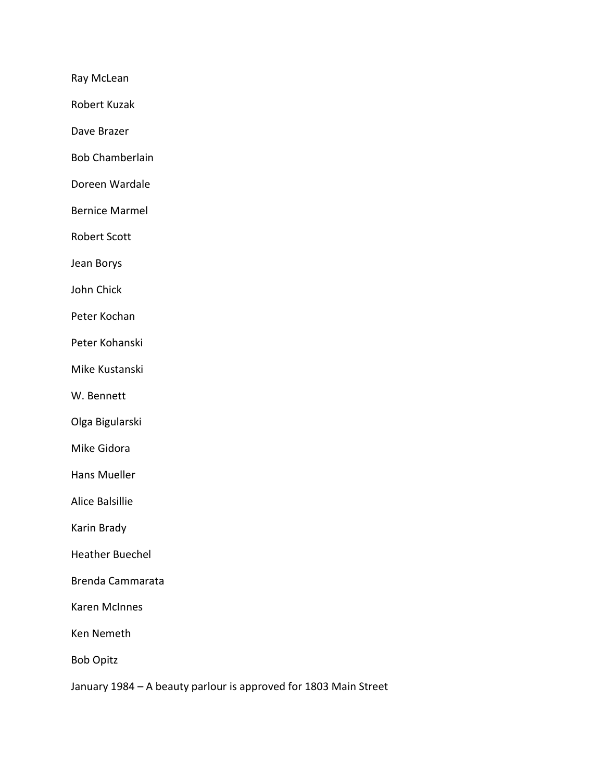Ray McLean

Robert Kuzak

Dave Brazer

Bob Chamberlain

Doreen Wardale

Bernice Marmel

Robert Scott

Jean Borys

John Chick

Peter Kochan

Peter Kohanski

Mike Kustanski

W. Bennett

Olga Bigularski

Mike Gidora

Hans Mueller

Alice Balsillie

Karin Brady

Heather Buechel

Brenda Cammarata

Karen McInnes

Ken Nemeth

Bob Opitz

January 1984 – A beauty parlour is approved for 1803 Main Street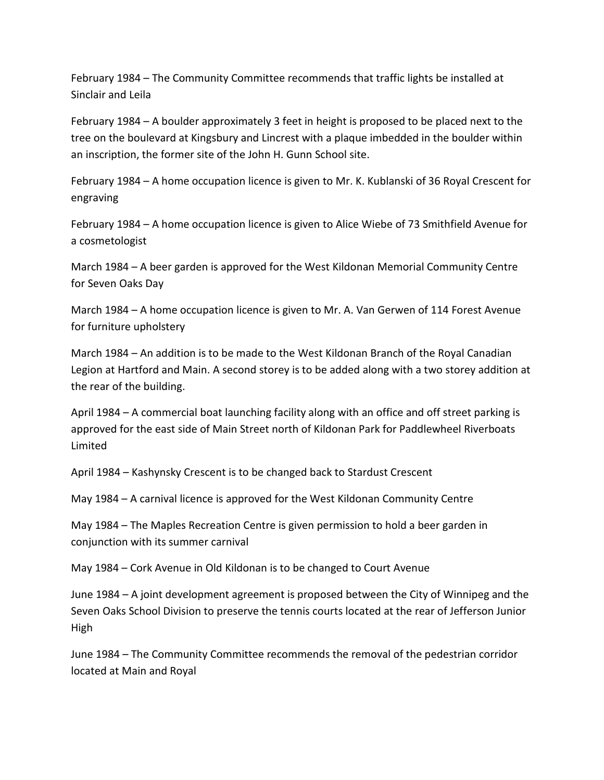February 1984 – The Community Committee recommends that traffic lights be installed at Sinclair and Leila

February 1984 – A boulder approximately 3 feet in height is proposed to be placed next to the tree on the boulevard at Kingsbury and Lincrest with a plaque imbedded in the boulder within an inscription, the former site of the John H. Gunn School site.

February 1984 – A home occupation licence is given to Mr. K. Kublanski of 36 Royal Crescent for engraving

February 1984 – A home occupation licence is given to Alice Wiebe of 73 Smithfield Avenue for a cosmetologist

March 1984 – A beer garden is approved for the West Kildonan Memorial Community Centre for Seven Oaks Day

March 1984 – A home occupation licence is given to Mr. A. Van Gerwen of 114 Forest Avenue for furniture upholstery

March 1984 – An addition is to be made to the West Kildonan Branch of the Royal Canadian Legion at Hartford and Main. A second storey is to be added along with a two storey addition at the rear of the building.

April 1984 – A commercial boat launching facility along with an office and off street parking is approved for the east side of Main Street north of Kildonan Park for Paddlewheel Riverboats Limited

April 1984 – Kashynsky Crescent is to be changed back to Stardust Crescent

May 1984 – A carnival licence is approved for the West Kildonan Community Centre

May 1984 – The Maples Recreation Centre is given permission to hold a beer garden in conjunction with its summer carnival

May 1984 – Cork Avenue in Old Kildonan is to be changed to Court Avenue

June 1984 – A joint development agreement is proposed between the City of Winnipeg and the Seven Oaks School Division to preserve the tennis courts located at the rear of Jefferson Junior High

June 1984 – The Community Committee recommends the removal of the pedestrian corridor located at Main and Royal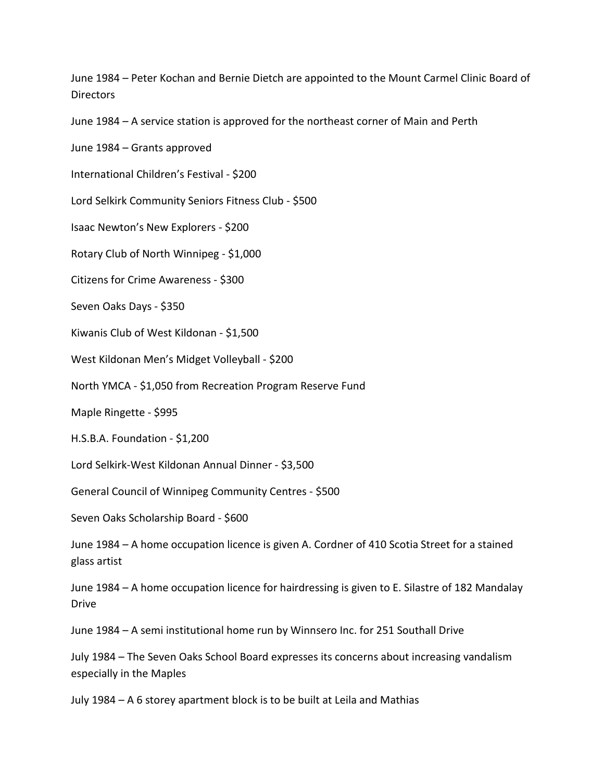June 1984 – Peter Kochan and Bernie Dietch are appointed to the Mount Carmel Clinic Board of **Directors** 

June 1984 – A service station is approved for the northeast corner of Main and Perth

June 1984 – Grants approved

International Children's Festival - \$200

Lord Selkirk Community Seniors Fitness Club - \$500

Isaac Newton's New Explorers - \$200

Rotary Club of North Winnipeg - \$1,000

Citizens for Crime Awareness - \$300

Seven Oaks Days - \$350

Kiwanis Club of West Kildonan - \$1,500

West Kildonan Men's Midget Volleyball - \$200

North YMCA - \$1,050 from Recreation Program Reserve Fund

Maple Ringette - \$995

H.S.B.A. Foundation - \$1,200

Lord Selkirk-West Kildonan Annual Dinner - \$3,500

General Council of Winnipeg Community Centres - \$500

Seven Oaks Scholarship Board - \$600

June 1984 – A home occupation licence is given A. Cordner of 410 Scotia Street for a stained glass artist

June 1984 – A home occupation licence for hairdressing is given to E. Silastre of 182 Mandalay Drive

June 1984 – A semi institutional home run by Winnsero Inc. for 251 Southall Drive

July 1984 – The Seven Oaks School Board expresses its concerns about increasing vandalism especially in the Maples

July 1984 – A 6 storey apartment block is to be built at Leila and Mathias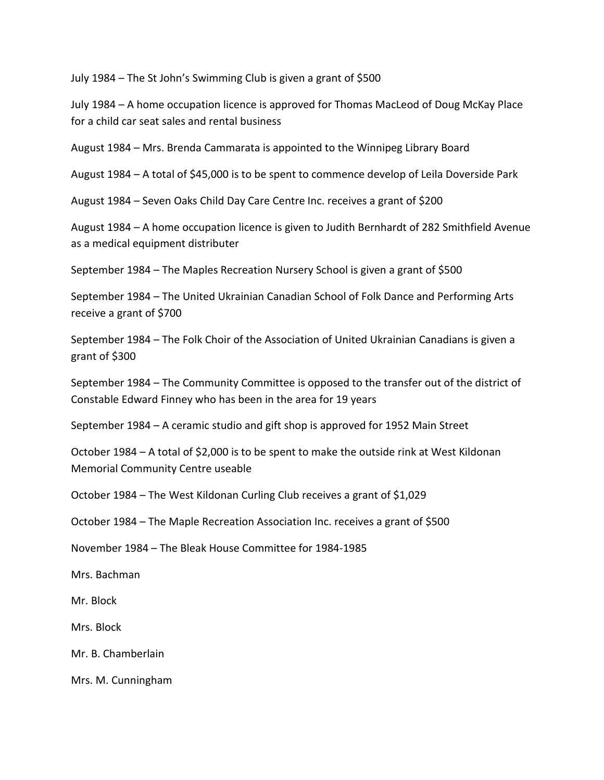July 1984 – The St John's Swimming Club is given a grant of \$500

July 1984 – A home occupation licence is approved for Thomas MacLeod of Doug McKay Place for a child car seat sales and rental business

August 1984 – Mrs. Brenda Cammarata is appointed to the Winnipeg Library Board

August 1984 – A total of \$45,000 is to be spent to commence develop of Leila Doverside Park

August 1984 – Seven Oaks Child Day Care Centre Inc. receives a grant of \$200

August 1984 – A home occupation licence is given to Judith Bernhardt of 282 Smithfield Avenue as a medical equipment distributer

September 1984 – The Maples Recreation Nursery School is given a grant of \$500

September 1984 – The United Ukrainian Canadian School of Folk Dance and Performing Arts receive a grant of \$700

September 1984 – The Folk Choir of the Association of United Ukrainian Canadians is given a grant of \$300

September 1984 – The Community Committee is opposed to the transfer out of the district of Constable Edward Finney who has been in the area for 19 years

September 1984 – A ceramic studio and gift shop is approved for 1952 Main Street

October 1984 – A total of \$2,000 is to be spent to make the outside rink at West Kildonan Memorial Community Centre useable

October 1984 – The West Kildonan Curling Club receives a grant of \$1,029

October 1984 – The Maple Recreation Association Inc. receives a grant of \$500

November 1984 – The Bleak House Committee for 1984-1985

Mrs. Bachman

Mr. Block

Mrs. Block

Mr. B. Chamberlain

Mrs. M. Cunningham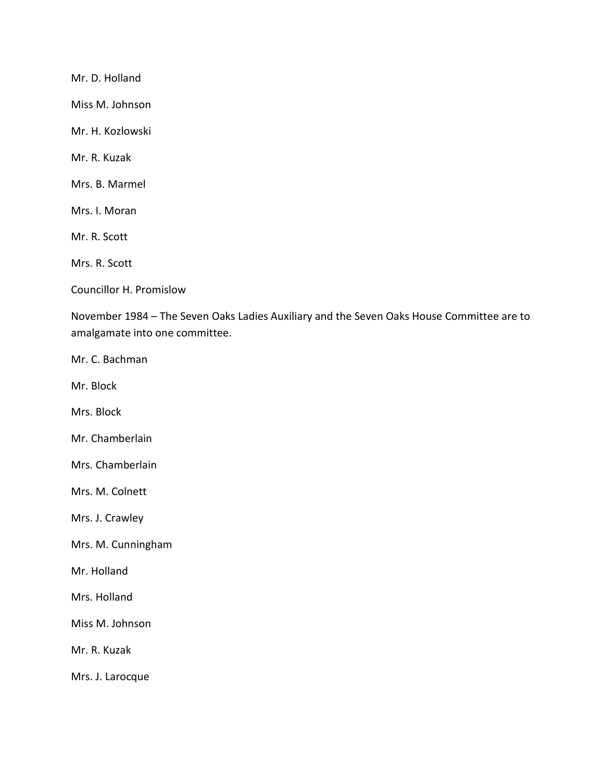Mr. D. Holland

Miss M. Johnson

Mr. H. Kozlowski

Mr. R. Kuzak

Mrs. B. Marmel

Mrs. I. Moran

Mr. R. Scott

Mrs. R. Scott

Councillor H. Promislow

November 1984 – The Seven Oaks Ladies Auxiliary and the Seven Oaks House Committee are to amalgamate into one committee.

Mr. C. Bachman

Mr. Block

Mrs. Block

Mr. Chamberlain

Mrs. Chamberlain

Mrs. M. Colnett

Mrs. J. Crawley

Mrs. M. Cunningham

Mr. Holland

Mrs. Holland

Miss M. Johnson

Mr. R. Kuzak

Mrs. J. Larocque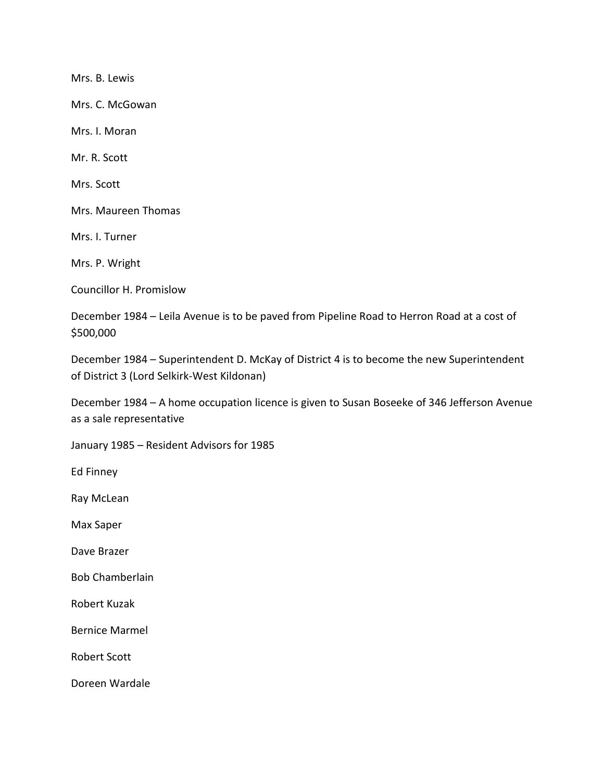Mrs. B. Lewis

Mrs. C. McGowan

Mrs. I. Moran

Mr. R. Scott

Mrs. Scott

Mrs. Maureen Thomas

Mrs. I. Turner

Mrs. P. Wright

Councillor H. Promislow

December 1984 – Leila Avenue is to be paved from Pipeline Road to Herron Road at a cost of \$500,000

December 1984 – Superintendent D. McKay of District 4 is to become the new Superintendent of District 3 (Lord Selkirk-West Kildonan)

December 1984 – A home occupation licence is given to Susan Boseeke of 346 Jefferson Avenue as a sale representative

January 1985 – Resident Advisors for 1985

Ed Finney

Ray McLean

Max Saper

Dave Brazer

Bob Chamberlain

Robert Kuzak

Bernice Marmel

Robert Scott

Doreen Wardale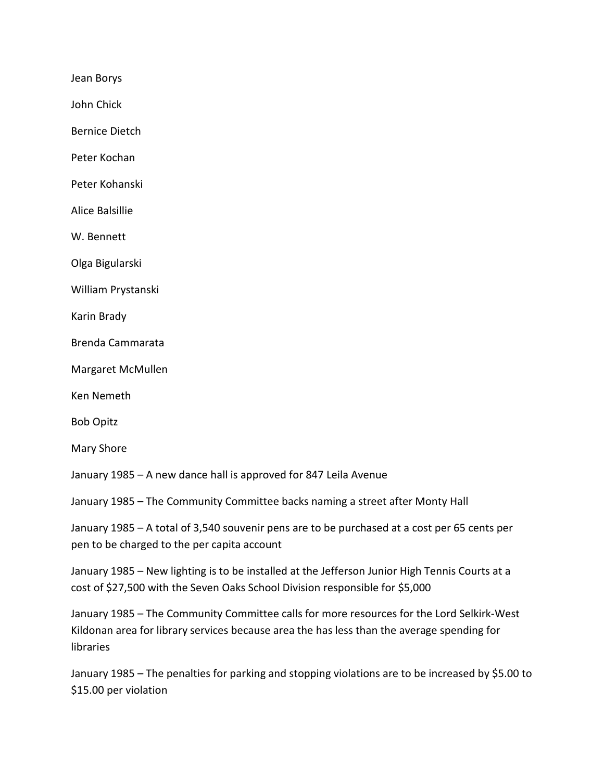Jean Borys

John Chick

Bernice Dietch

Peter Kochan

Peter Kohanski

Alice Balsillie

W. Bennett

Olga Bigularski

William Prystanski

Karin Brady

Brenda Cammarata

Margaret McMullen

Ken Nemeth

Bob Opitz

Mary Shore

January 1985 – A new dance hall is approved for 847 Leila Avenue

January 1985 – The Community Committee backs naming a street after Monty Hall

January 1985 – A total of 3,540 souvenir pens are to be purchased at a cost per 65 cents per pen to be charged to the per capita account

January 1985 – New lighting is to be installed at the Jefferson Junior High Tennis Courts at a cost of \$27,500 with the Seven Oaks School Division responsible for \$5,000

January 1985 – The Community Committee calls for more resources for the Lord Selkirk-West Kildonan area for library services because area the has less than the average spending for libraries

January 1985 – The penalties for parking and stopping violations are to be increased by \$5.00 to \$15.00 per violation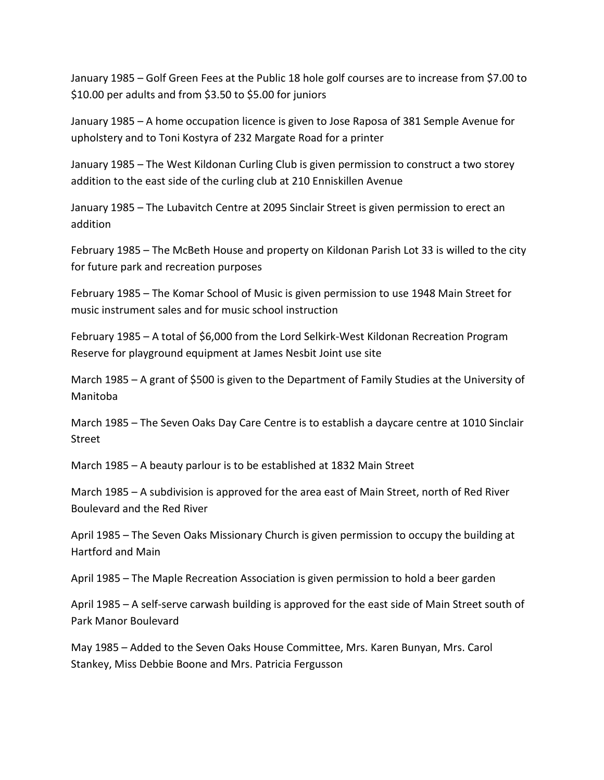January 1985 – Golf Green Fees at the Public 18 hole golf courses are to increase from \$7.00 to \$10.00 per adults and from \$3.50 to \$5.00 for juniors

January 1985 – A home occupation licence is given to Jose Raposa of 381 Semple Avenue for upholstery and to Toni Kostyra of 232 Margate Road for a printer

January 1985 – The West Kildonan Curling Club is given permission to construct a two storey addition to the east side of the curling club at 210 Enniskillen Avenue

January 1985 – The Lubavitch Centre at 2095 Sinclair Street is given permission to erect an addition

February 1985 – The McBeth House and property on Kildonan Parish Lot 33 is willed to the city for future park and recreation purposes

February 1985 – The Komar School of Music is given permission to use 1948 Main Street for music instrument sales and for music school instruction

February 1985 – A total of \$6,000 from the Lord Selkirk-West Kildonan Recreation Program Reserve for playground equipment at James Nesbit Joint use site

March 1985 – A grant of \$500 is given to the Department of Family Studies at the University of Manitoba

March 1985 – The Seven Oaks Day Care Centre is to establish a daycare centre at 1010 Sinclair Street

March 1985 – A beauty parlour is to be established at 1832 Main Street

March 1985 – A subdivision is approved for the area east of Main Street, north of Red River Boulevard and the Red River

April 1985 – The Seven Oaks Missionary Church is given permission to occupy the building at Hartford and Main

April 1985 – The Maple Recreation Association is given permission to hold a beer garden

April 1985 – A self-serve carwash building is approved for the east side of Main Street south of Park Manor Boulevard

May 1985 – Added to the Seven Oaks House Committee, Mrs. Karen Bunyan, Mrs. Carol Stankey, Miss Debbie Boone and Mrs. Patricia Fergusson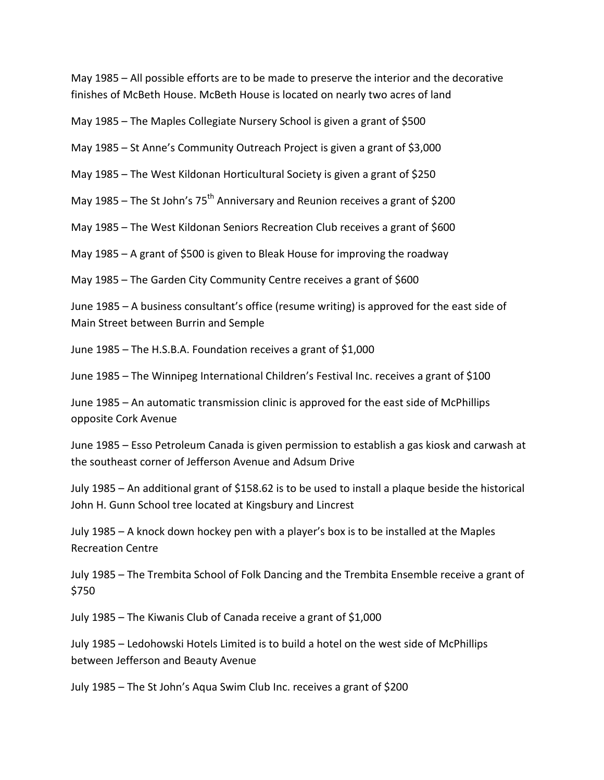May 1985 – All possible efforts are to be made to preserve the interior and the decorative finishes of McBeth House. McBeth House is located on nearly two acres of land

May 1985 – The Maples Collegiate Nursery School is given a grant of \$500

May 1985 – St Anne's Community Outreach Project is given a grant of \$3,000

May 1985 – The West Kildonan Horticultural Society is given a grant of \$250

May 1985 – The St John's  $75<sup>th</sup>$  Anniversary and Reunion receives a grant of \$200

May 1985 – The West Kildonan Seniors Recreation Club receives a grant of \$600

May 1985 – A grant of \$500 is given to Bleak House for improving the roadway

May 1985 – The Garden City Community Centre receives a grant of \$600

June 1985 – A business consultant's office (resume writing) is approved for the east side of Main Street between Burrin and Semple

June 1985 – The H.S.B.A. Foundation receives a grant of \$1,000

June 1985 – The Winnipeg International Children's Festival Inc. receives a grant of \$100

June 1985 – An automatic transmission clinic is approved for the east side of McPhillips opposite Cork Avenue

June 1985 – Esso Petroleum Canada is given permission to establish a gas kiosk and carwash at the southeast corner of Jefferson Avenue and Adsum Drive

July 1985 – An additional grant of \$158.62 is to be used to install a plaque beside the historical John H. Gunn School tree located at Kingsbury and Lincrest

July 1985 – A knock down hockey pen with a player's box is to be installed at the Maples Recreation Centre

July 1985 – The Trembita School of Folk Dancing and the Trembita Ensemble receive a grant of \$750

July 1985 – The Kiwanis Club of Canada receive a grant of \$1,000

July 1985 – Ledohowski Hotels Limited is to build a hotel on the west side of McPhillips between Jefferson and Beauty Avenue

July 1985 – The St John's Aqua Swim Club Inc. receives a grant of \$200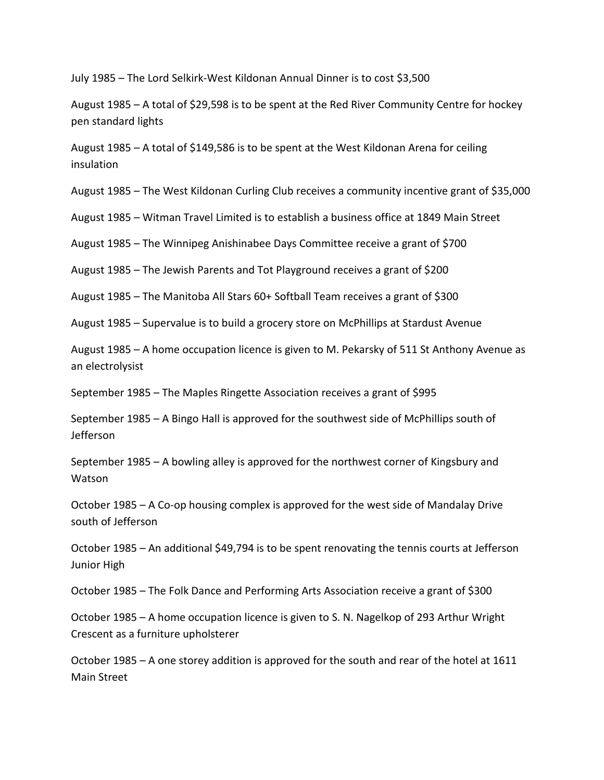July 1985 – The Lord Selkirk-West Kildonan Annual Dinner is to cost \$3,500

August 1985 – A total of \$29,598 is to be spent at the Red River Community Centre for hockey pen standard lights

August 1985 – A total of \$149,586 is to be spent at the West Kildonan Arena for ceiling insulation

August 1985 – The West Kildonan Curling Club receives a community incentive grant of \$35,000

August 1985 – Witman Travel Limited is to establish a business office at 1849 Main Street

August 1985 – The Winnipeg Anishinabee Days Committee receive a grant of \$700

August 1985 – The Jewish Parents and Tot Playground receives a grant of \$200

August 1985 – The Manitoba All Stars 60+ Softball Team receives a grant of \$300

August 1985 – Supervalue is to build a grocery store on McPhillips at Stardust Avenue

August 1985 – A home occupation licence is given to M. Pekarsky of 511 St Anthony Avenue as an electrolysist

September 1985 – The Maples Ringette Association receives a grant of \$995

September 1985 – A Bingo Hall is approved for the southwest side of McPhillips south of Jefferson

September 1985 – A bowling alley is approved for the northwest corner of Kingsbury and **Watson** 

October 1985 – A Co-op housing complex is approved for the west side of Mandalay Drive south of Jefferson

October 1985 – An additional \$49,794 is to be spent renovating the tennis courts at Jefferson Junior High

October 1985 – The Folk Dance and Performing Arts Association receive a grant of \$300

October 1985 – A home occupation licence is given to S. N. Nagelkop of 293 Arthur Wright Crescent as a furniture upholsterer

October 1985 – A one storey addition is approved for the south and rear of the hotel at 1611 Main Street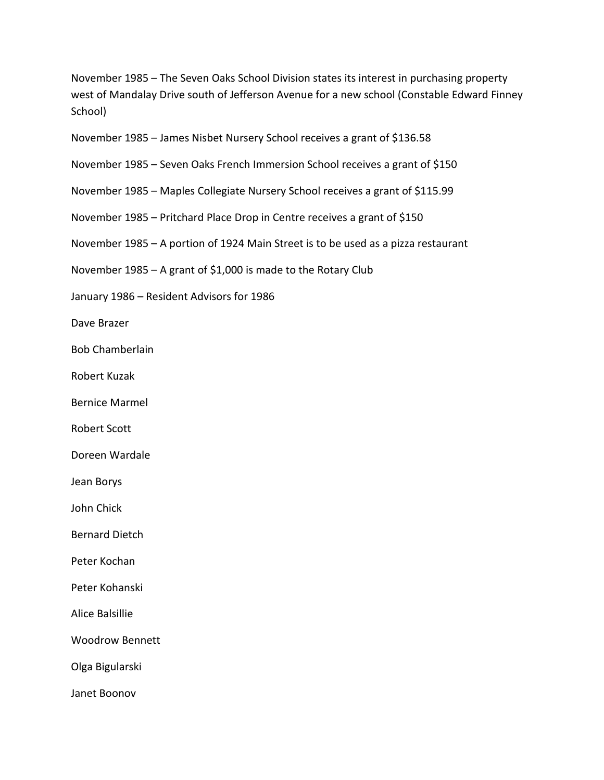November 1985 – The Seven Oaks School Division states its interest in purchasing property west of Mandalay Drive south of Jefferson Avenue for a new school (Constable Edward Finney School)

November 1985 – James Nisbet Nursery School receives a grant of \$136.58

November 1985 – Seven Oaks French Immersion School receives a grant of \$150

November 1985 – Maples Collegiate Nursery School receives a grant of \$115.99

November 1985 – Pritchard Place Drop in Centre receives a grant of \$150

November 1985 – A portion of 1924 Main Street is to be used as a pizza restaurant

November 1985 – A grant of \$1,000 is made to the Rotary Club

January 1986 – Resident Advisors for 1986

Dave Brazer

Bob Chamberlain

Robert Kuzak

Bernice Marmel

Robert Scott

Doreen Wardale

Jean Borys

John Chick

Bernard Dietch

Peter Kochan

Peter Kohanski

Alice Balsillie

Woodrow Bennett

Olga Bigularski

Janet Boonov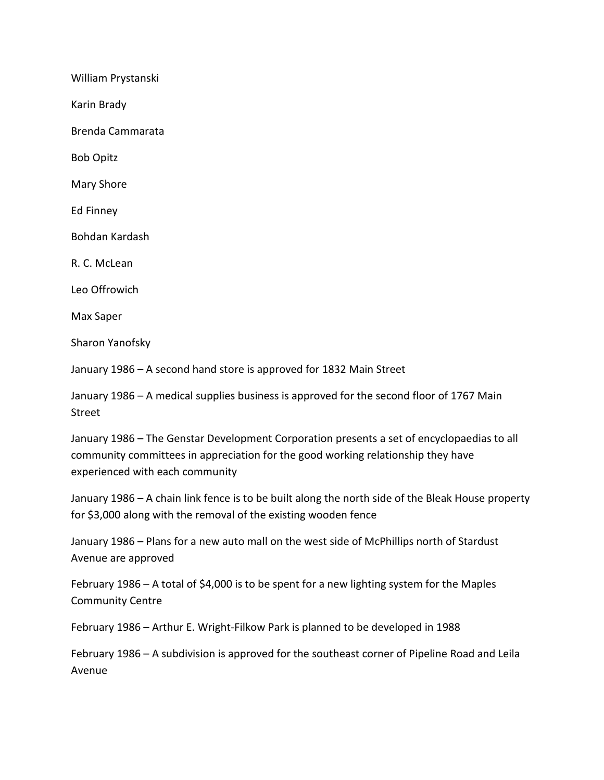William Prystanski

Karin Brady

Brenda Cammarata

Bob Opitz

Mary Shore

Ed Finney

Bohdan Kardash

R. C. McLean

Leo Offrowich

Max Saper

Sharon Yanofsky

January 1986 – A second hand store is approved for 1832 Main Street

January 1986 – A medical supplies business is approved for the second floor of 1767 Main Street

January 1986 – The Genstar Development Corporation presents a set of encyclopaedias to all community committees in appreciation for the good working relationship they have experienced with each community

January 1986 – A chain link fence is to be built along the north side of the Bleak House property for \$3,000 along with the removal of the existing wooden fence

January 1986 – Plans for a new auto mall on the west side of McPhillips north of Stardust Avenue are approved

February 1986 – A total of \$4,000 is to be spent for a new lighting system for the Maples Community Centre

February 1986 – Arthur E. Wright-Filkow Park is planned to be developed in 1988

February 1986 – A subdivision is approved for the southeast corner of Pipeline Road and Leila Avenue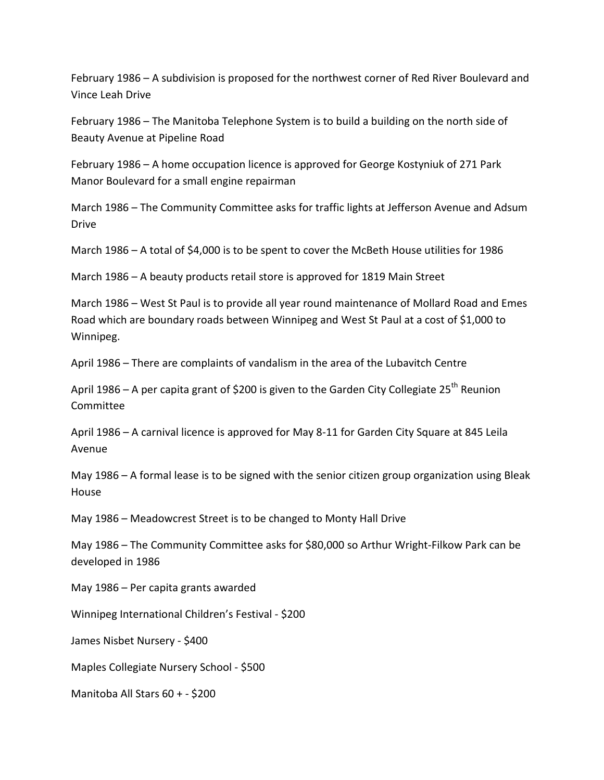February 1986 – A subdivision is proposed for the northwest corner of Red River Boulevard and Vince Leah Drive

February 1986 – The Manitoba Telephone System is to build a building on the north side of Beauty Avenue at Pipeline Road

February 1986 – A home occupation licence is approved for George Kostyniuk of 271 Park Manor Boulevard for a small engine repairman

March 1986 – The Community Committee asks for traffic lights at Jefferson Avenue and Adsum Drive

March 1986 – A total of \$4,000 is to be spent to cover the McBeth House utilities for 1986

March 1986 – A beauty products retail store is approved for 1819 Main Street

March 1986 – West St Paul is to provide all year round maintenance of Mollard Road and Emes Road which are boundary roads between Winnipeg and West St Paul at a cost of \$1,000 to Winnipeg.

April 1986 – There are complaints of vandalism in the area of the Lubavitch Centre

April 1986 – A per capita grant of \$200 is given to the Garden City Collegiate 25<sup>th</sup> Reunion Committee

April 1986 – A carnival licence is approved for May 8-11 for Garden City Square at 845 Leila Avenue

May 1986 – A formal lease is to be signed with the senior citizen group organization using Bleak House

May 1986 – Meadowcrest Street is to be changed to Monty Hall Drive

May 1986 – The Community Committee asks for \$80,000 so Arthur Wright-Filkow Park can be developed in 1986

May 1986 – Per capita grants awarded

Winnipeg International Children's Festival - \$200

James Nisbet Nursery - \$400

Maples Collegiate Nursery School - \$500

Manitoba All Stars 60 + - \$200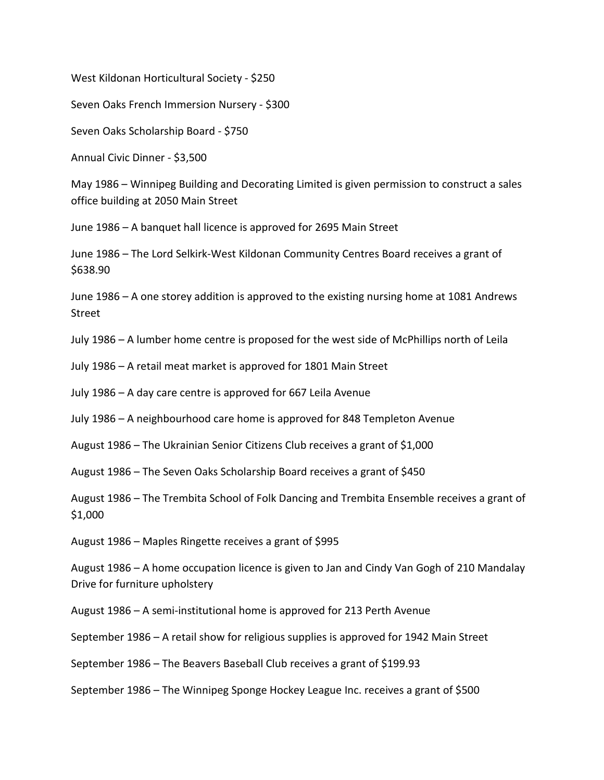West Kildonan Horticultural Society - \$250

Seven Oaks French Immersion Nursery - \$300

Seven Oaks Scholarship Board - \$750

Annual Civic Dinner - \$3,500

May 1986 – Winnipeg Building and Decorating Limited is given permission to construct a sales office building at 2050 Main Street

June 1986 – A banquet hall licence is approved for 2695 Main Street

June 1986 – The Lord Selkirk-West Kildonan Community Centres Board receives a grant of \$638.90

June 1986 – A one storey addition is approved to the existing nursing home at 1081 Andrews Street

July 1986 – A lumber home centre is proposed for the west side of McPhillips north of Leila

July 1986 – A retail meat market is approved for 1801 Main Street

July 1986 – A day care centre is approved for 667 Leila Avenue

July 1986 – A neighbourhood care home is approved for 848 Templeton Avenue

August 1986 – The Ukrainian Senior Citizens Club receives a grant of \$1,000

August 1986 – The Seven Oaks Scholarship Board receives a grant of \$450

August 1986 – The Trembita School of Folk Dancing and Trembita Ensemble receives a grant of \$1,000

August 1986 – Maples Ringette receives a grant of \$995

August 1986 – A home occupation licence is given to Jan and Cindy Van Gogh of 210 Mandalay Drive for furniture upholstery

August 1986 – A semi-institutional home is approved for 213 Perth Avenue

September 1986 – A retail show for religious supplies is approved for 1942 Main Street

September 1986 – The Beavers Baseball Club receives a grant of \$199.93

September 1986 – The Winnipeg Sponge Hockey League Inc. receives a grant of \$500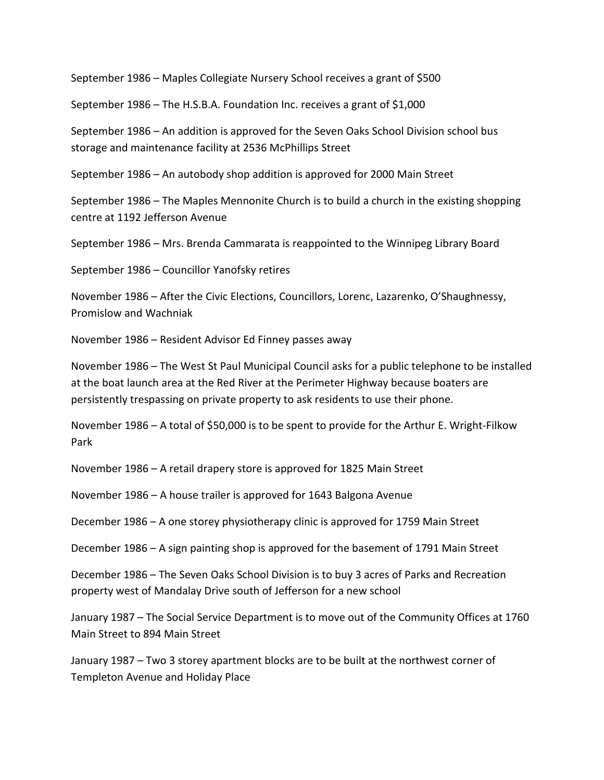September 1986 – Maples Collegiate Nursery School receives a grant of \$500

September 1986 – The H.S.B.A. Foundation Inc. receives a grant of \$1,000

September 1986 – An addition is approved for the Seven Oaks School Division school bus storage and maintenance facility at 2536 McPhillips Street

September 1986 – An autobody shop addition is approved for 2000 Main Street

September 1986 – The Maples Mennonite Church is to build a church in the existing shopping centre at 1192 Jefferson Avenue

September 1986 – Mrs. Brenda Cammarata is reappointed to the Winnipeg Library Board

September 1986 – Councillor Yanofsky retires

November 1986 – After the Civic Elections, Councillors, Lorenc, Lazarenko, O'Shaughnessy, Promislow and Wachniak

November 1986 – Resident Advisor Ed Finney passes away

November 1986 – The West St Paul Municipal Council asks for a public telephone to be installed at the boat launch area at the Red River at the Perimeter Highway because boaters are persistently trespassing on private property to ask residents to use their phone.

November 1986 – A total of \$50,000 is to be spent to provide for the Arthur E. Wright-Filkow Park

November 1986 – A retail drapery store is approved for 1825 Main Street

November 1986 – A house trailer is approved for 1643 Balgona Avenue

December 1986 – A one storey physiotherapy clinic is approved for 1759 Main Street

December 1986 – A sign painting shop is approved for the basement of 1791 Main Street

December 1986 – The Seven Oaks School Division is to buy 3 acres of Parks and Recreation property west of Mandalay Drive south of Jefferson for a new school

January 1987 – The Social Service Department is to move out of the Community Offices at 1760 Main Street to 894 Main Street

January 1987 – Two 3 storey apartment blocks are to be built at the northwest corner of Templeton Avenue and Holiday Place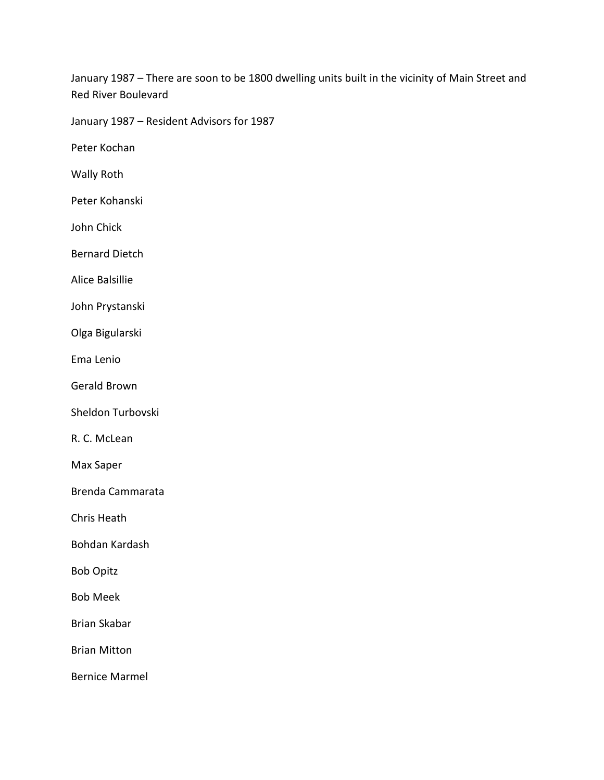January 1987 – There are soon to be 1800 dwelling units built in the vicinity of Main Street and Red River Boulevard

January 1987 – Resident Advisors for 1987

Peter Kochan

Wally Roth

Peter Kohanski

John Chick

Bernard Dietch

Alice Balsillie

John Prystanski

Olga Bigularski

Ema Lenio

Gerald Brown

Sheldon Turbovski

R. C. McLean

Max Saper

Brenda Cammarata

Chris Heath

Bohdan Kardash

Bob Opitz

Bob Meek

Brian Skabar

Brian Mitton

Bernice Marmel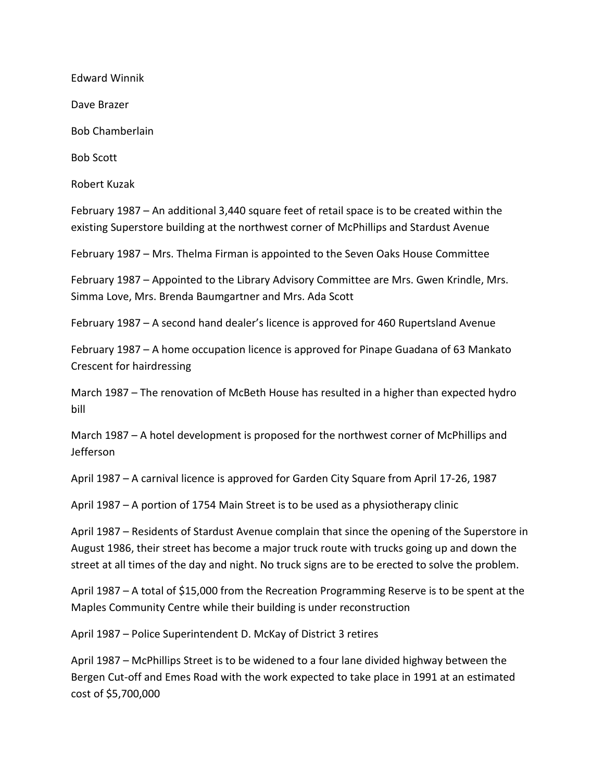Edward Winnik

Dave Brazer

Bob Chamberlain

Bob Scott

Robert Kuzak

February 1987 – An additional 3,440 square feet of retail space is to be created within the existing Superstore building at the northwest corner of McPhillips and Stardust Avenue

February 1987 – Mrs. Thelma Firman is appointed to the Seven Oaks House Committee

February 1987 – Appointed to the Library Advisory Committee are Mrs. Gwen Krindle, Mrs. Simma Love, Mrs. Brenda Baumgartner and Mrs. Ada Scott

February 1987 – A second hand dealer's licence is approved for 460 Rupertsland Avenue

February 1987 – A home occupation licence is approved for Pinape Guadana of 63 Mankato Crescent for hairdressing

March 1987 – The renovation of McBeth House has resulted in a higher than expected hydro bill

March 1987 – A hotel development is proposed for the northwest corner of McPhillips and Jefferson

April 1987 – A carnival licence is approved for Garden City Square from April 17-26, 1987

April 1987 – A portion of 1754 Main Street is to be used as a physiotherapy clinic

April 1987 – Residents of Stardust Avenue complain that since the opening of the Superstore in August 1986, their street has become a major truck route with trucks going up and down the street at all times of the day and night. No truck signs are to be erected to solve the problem.

April 1987 – A total of \$15,000 from the Recreation Programming Reserve is to be spent at the Maples Community Centre while their building is under reconstruction

April 1987 – Police Superintendent D. McKay of District 3 retires

April 1987 – McPhillips Street is to be widened to a four lane divided highway between the Bergen Cut-off and Emes Road with the work expected to take place in 1991 at an estimated cost of \$5,700,000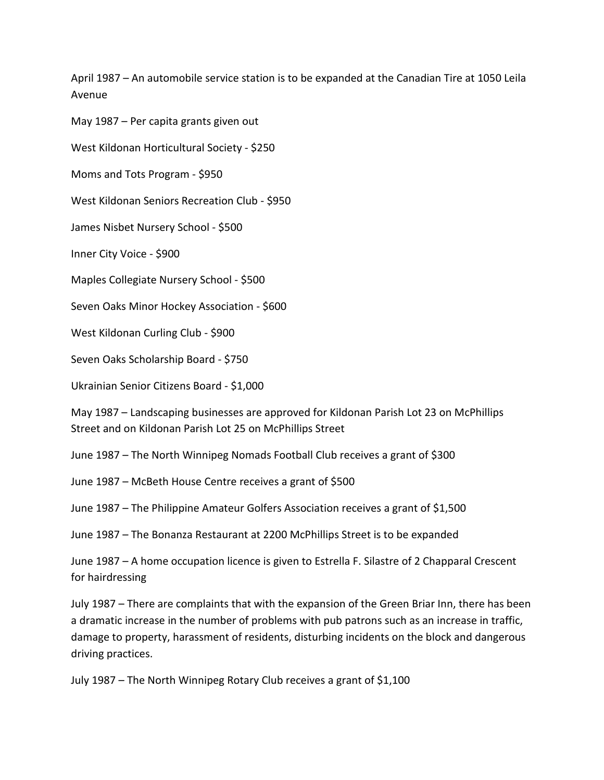April 1987 – An automobile service station is to be expanded at the Canadian Tire at 1050 Leila Avenue

May 1987 – Per capita grants given out

West Kildonan Horticultural Society - \$250

Moms and Tots Program - \$950

West Kildonan Seniors Recreation Club - \$950

James Nisbet Nursery School - \$500

Inner City Voice - \$900

Maples Collegiate Nursery School - \$500

Seven Oaks Minor Hockey Association - \$600

West Kildonan Curling Club - \$900

Seven Oaks Scholarship Board - \$750

Ukrainian Senior Citizens Board - \$1,000

May 1987 – Landscaping businesses are approved for Kildonan Parish Lot 23 on McPhillips Street and on Kildonan Parish Lot 25 on McPhillips Street

June 1987 – The North Winnipeg Nomads Football Club receives a grant of \$300

June 1987 – McBeth House Centre receives a grant of \$500

June 1987 – The Philippine Amateur Golfers Association receives a grant of \$1,500

June 1987 – The Bonanza Restaurant at 2200 McPhillips Street is to be expanded

June 1987 – A home occupation licence is given to Estrella F. Silastre of 2 Chapparal Crescent for hairdressing

July 1987 – There are complaints that with the expansion of the Green Briar Inn, there has been a dramatic increase in the number of problems with pub patrons such as an increase in traffic, damage to property, harassment of residents, disturbing incidents on the block and dangerous driving practices.

July 1987 – The North Winnipeg Rotary Club receives a grant of \$1,100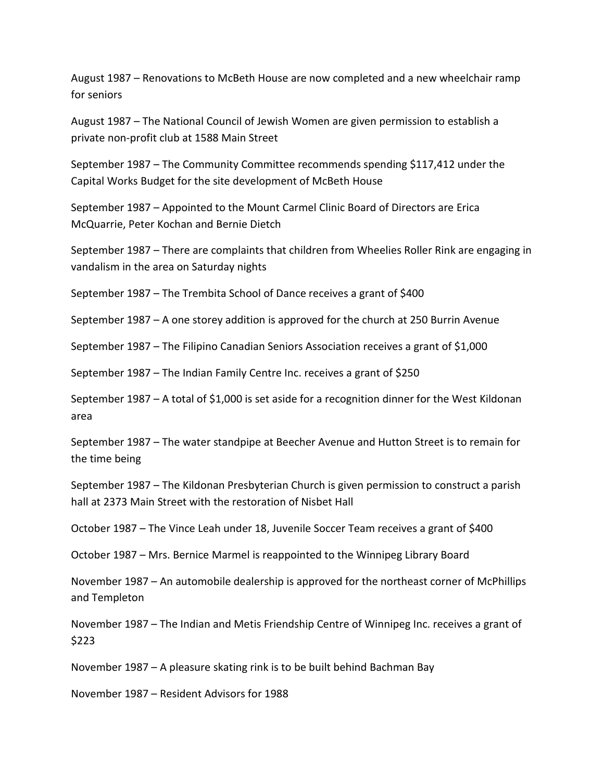August 1987 – Renovations to McBeth House are now completed and a new wheelchair ramp for seniors

August 1987 – The National Council of Jewish Women are given permission to establish a private non-profit club at 1588 Main Street

September 1987 – The Community Committee recommends spending \$117,412 under the Capital Works Budget for the site development of McBeth House

September 1987 – Appointed to the Mount Carmel Clinic Board of Directors are Erica McQuarrie, Peter Kochan and Bernie Dietch

September 1987 – There are complaints that children from Wheelies Roller Rink are engaging in vandalism in the area on Saturday nights

September 1987 – The Trembita School of Dance receives a grant of \$400

September 1987 – A one storey addition is approved for the church at 250 Burrin Avenue

September 1987 – The Filipino Canadian Seniors Association receives a grant of \$1,000

September 1987 – The Indian Family Centre Inc. receives a grant of \$250

September 1987 – A total of \$1,000 is set aside for a recognition dinner for the West Kildonan area

September 1987 – The water standpipe at Beecher Avenue and Hutton Street is to remain for the time being

September 1987 – The Kildonan Presbyterian Church is given permission to construct a parish hall at 2373 Main Street with the restoration of Nisbet Hall

October 1987 – The Vince Leah under 18, Juvenile Soccer Team receives a grant of \$400

October 1987 – Mrs. Bernice Marmel is reappointed to the Winnipeg Library Board

November 1987 – An automobile dealership is approved for the northeast corner of McPhillips and Templeton

November 1987 – The Indian and Metis Friendship Centre of Winnipeg Inc. receives a grant of \$223

November 1987 – A pleasure skating rink is to be built behind Bachman Bay

November 1987 – Resident Advisors for 1988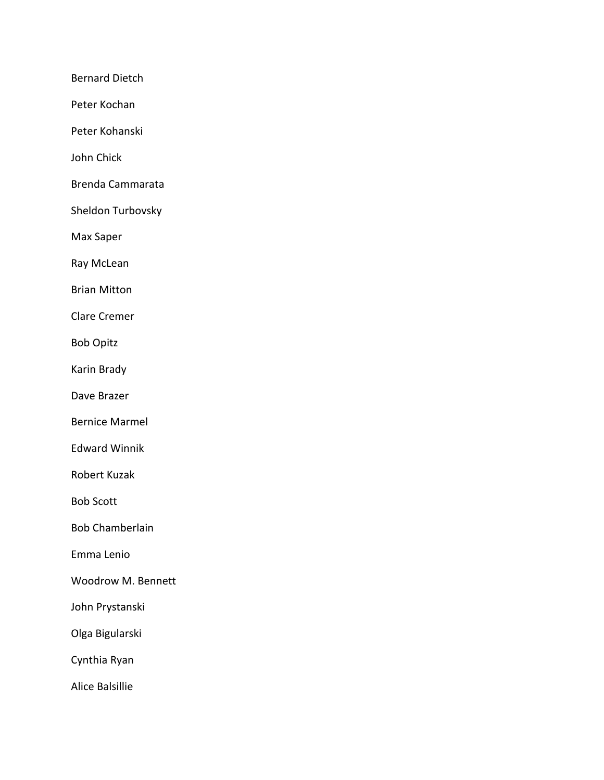Bernard Dietch

Peter Kochan

Peter Kohanski

John Chick

Brenda Cammarata

Sheldon Turbovsky

Max Saper

Ray McLean

Brian Mitton

Clare Cremer

Bob Opitz

Karin Brady

Dave Brazer

Bernice Marmel

Edward Winnik

Robert Kuzak

Bob Scott

Bob Chamberlain

Emma Lenio

Woodrow M. Bennett

John Prystanski

Olga Bigularski

Cynthia Ryan

Alice Balsillie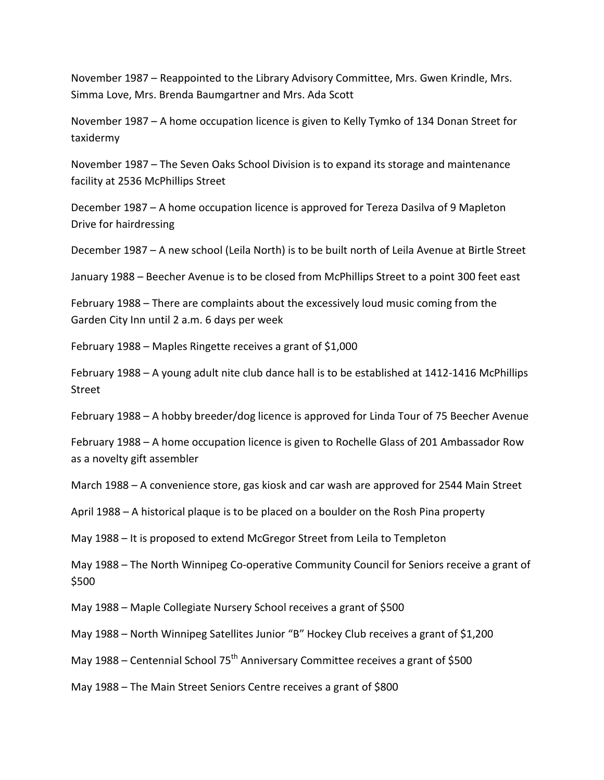November 1987 – Reappointed to the Library Advisory Committee, Mrs. Gwen Krindle, Mrs. Simma Love, Mrs. Brenda Baumgartner and Mrs. Ada Scott

November 1987 – A home occupation licence is given to Kelly Tymko of 134 Donan Street for taxidermy

November 1987 – The Seven Oaks School Division is to expand its storage and maintenance facility at 2536 McPhillips Street

December 1987 – A home occupation licence is approved for Tereza Dasilva of 9 Mapleton Drive for hairdressing

December 1987 – A new school (Leila North) is to be built north of Leila Avenue at Birtle Street

January 1988 – Beecher Avenue is to be closed from McPhillips Street to a point 300 feet east

February 1988 – There are complaints about the excessively loud music coming from the Garden City Inn until 2 a.m. 6 days per week

February 1988 – Maples Ringette receives a grant of \$1,000

February 1988 – A young adult nite club dance hall is to be established at 1412-1416 McPhillips Street

February 1988 – A hobby breeder/dog licence is approved for Linda Tour of 75 Beecher Avenue

February 1988 – A home occupation licence is given to Rochelle Glass of 201 Ambassador Row as a novelty gift assembler

March 1988 – A convenience store, gas kiosk and car wash are approved for 2544 Main Street

April 1988 – A historical plaque is to be placed on a boulder on the Rosh Pina property

May 1988 – It is proposed to extend McGregor Street from Leila to Templeton

May 1988 – The North Winnipeg Co-operative Community Council for Seniors receive a grant of \$500

May 1988 – Maple Collegiate Nursery School receives a grant of \$500

May 1988 – North Winnipeg Satellites Junior "B" Hockey Club receives a grant of \$1,200

May 1988 – Centennial School 75<sup>th</sup> Anniversary Committee receives a grant of \$500

May 1988 – The Main Street Seniors Centre receives a grant of \$800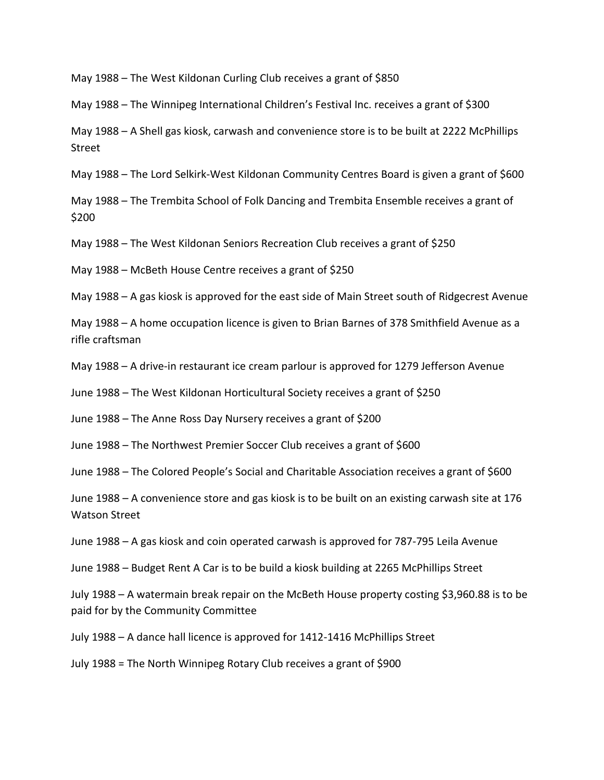May 1988 – The West Kildonan Curling Club receives a grant of \$850

May 1988 – The Winnipeg International Children's Festival Inc. receives a grant of \$300

May 1988 – A Shell gas kiosk, carwash and convenience store is to be built at 2222 McPhillips Street

May 1988 – The Lord Selkirk-West Kildonan Community Centres Board is given a grant of \$600

May 1988 – The Trembita School of Folk Dancing and Trembita Ensemble receives a grant of \$200

May 1988 – The West Kildonan Seniors Recreation Club receives a grant of \$250

May 1988 – McBeth House Centre receives a grant of \$250

May 1988 – A gas kiosk is approved for the east side of Main Street south of Ridgecrest Avenue

May 1988 – A home occupation licence is given to Brian Barnes of 378 Smithfield Avenue as a rifle craftsman

May 1988 – A drive-in restaurant ice cream parlour is approved for 1279 Jefferson Avenue

June 1988 – The West Kildonan Horticultural Society receives a grant of \$250

June 1988 – The Anne Ross Day Nursery receives a grant of \$200

June 1988 – The Northwest Premier Soccer Club receives a grant of \$600

June 1988 – The Colored People's Social and Charitable Association receives a grant of \$600

June 1988 – A convenience store and gas kiosk is to be built on an existing carwash site at 176 Watson Street

June 1988 – A gas kiosk and coin operated carwash is approved for 787-795 Leila Avenue

June 1988 – Budget Rent A Car is to be build a kiosk building at 2265 McPhillips Street

July 1988 – A watermain break repair on the McBeth House property costing \$3,960.88 is to be paid for by the Community Committee

July 1988 – A dance hall licence is approved for 1412-1416 McPhillips Street

July 1988 = The North Winnipeg Rotary Club receives a grant of \$900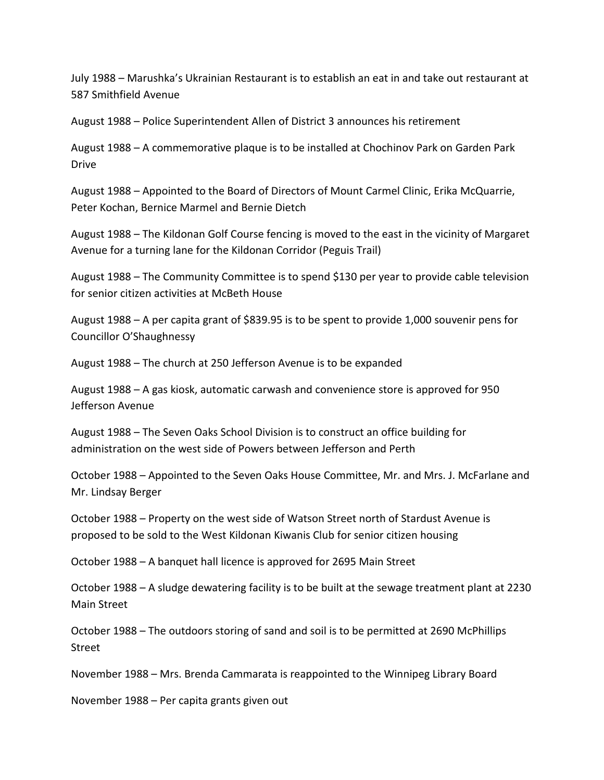July 1988 – Marushka's Ukrainian Restaurant is to establish an eat in and take out restaurant at 587 Smithfield Avenue

August 1988 – Police Superintendent Allen of District 3 announces his retirement

August 1988 – A commemorative plaque is to be installed at Chochinov Park on Garden Park Drive

August 1988 – Appointed to the Board of Directors of Mount Carmel Clinic, Erika McQuarrie, Peter Kochan, Bernice Marmel and Bernie Dietch

August 1988 – The Kildonan Golf Course fencing is moved to the east in the vicinity of Margaret Avenue for a turning lane for the Kildonan Corridor (Peguis Trail)

August 1988 – The Community Committee is to spend \$130 per year to provide cable television for senior citizen activities at McBeth House

August 1988 – A per capita grant of \$839.95 is to be spent to provide 1,000 souvenir pens for Councillor O'Shaughnessy

August 1988 – The church at 250 Jefferson Avenue is to be expanded

August 1988 – A gas kiosk, automatic carwash and convenience store is approved for 950 Jefferson Avenue

August 1988 – The Seven Oaks School Division is to construct an office building for administration on the west side of Powers between Jefferson and Perth

October 1988 – Appointed to the Seven Oaks House Committee, Mr. and Mrs. J. McFarlane and Mr. Lindsay Berger

October 1988 – Property on the west side of Watson Street north of Stardust Avenue is proposed to be sold to the West Kildonan Kiwanis Club for senior citizen housing

October 1988 – A banquet hall licence is approved for 2695 Main Street

October 1988 – A sludge dewatering facility is to be built at the sewage treatment plant at 2230 Main Street

October 1988 – The outdoors storing of sand and soil is to be permitted at 2690 McPhillips Street

November 1988 – Mrs. Brenda Cammarata is reappointed to the Winnipeg Library Board

November 1988 – Per capita grants given out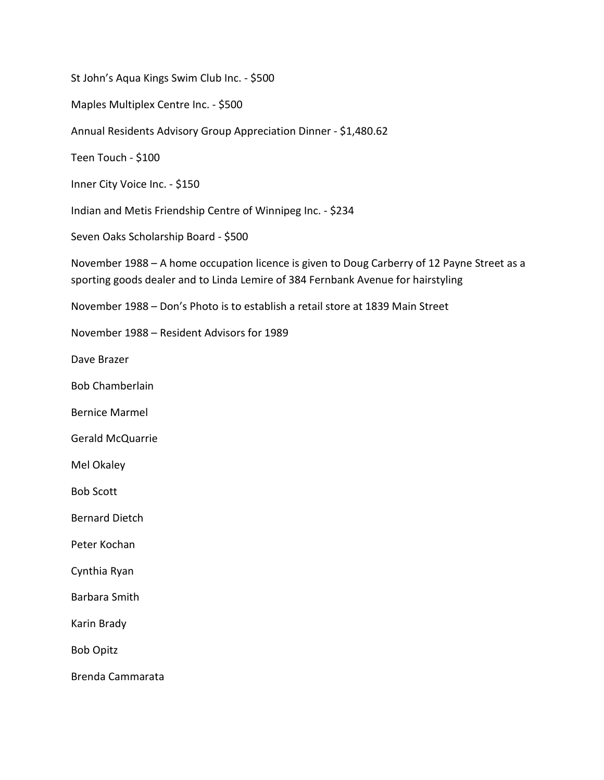St John's Aqua Kings Swim Club Inc. - \$500

Maples Multiplex Centre Inc. - \$500

Annual Residents Advisory Group Appreciation Dinner - \$1,480.62

Teen Touch - \$100

Inner City Voice Inc. - \$150

Indian and Metis Friendship Centre of Winnipeg Inc. - \$234

Seven Oaks Scholarship Board - \$500

November 1988 – A home occupation licence is given to Doug Carberry of 12 Payne Street as a sporting goods dealer and to Linda Lemire of 384 Fernbank Avenue for hairstyling

November 1988 – Don's Photo is to establish a retail store at 1839 Main Street

November 1988 – Resident Advisors for 1989

Dave Brazer

Bob Chamberlain

Bernice Marmel

Gerald McQuarrie

Mel Okaley

Bob Scott

Bernard Dietch

Peter Kochan

Cynthia Ryan

Barbara Smith

Karin Brady

Bob Opitz

Brenda Cammarata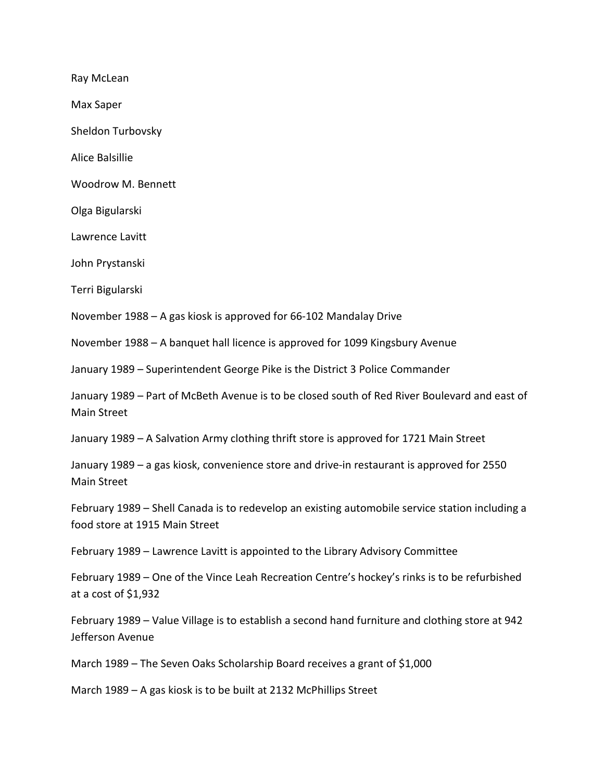Ray McLean

Max Saper

Sheldon Turbovsky

Alice Balsillie

Woodrow M. Bennett

Olga Bigularski

Lawrence Lavitt

John Prystanski

Terri Bigularski

November 1988 – A gas kiosk is approved for 66-102 Mandalay Drive

November 1988 – A banquet hall licence is approved for 1099 Kingsbury Avenue

January 1989 – Superintendent George Pike is the District 3 Police Commander

January 1989 – Part of McBeth Avenue is to be closed south of Red River Boulevard and east of Main Street

January 1989 – A Salvation Army clothing thrift store is approved for 1721 Main Street

January 1989 – a gas kiosk, convenience store and drive-in restaurant is approved for 2550 Main Street

February 1989 – Shell Canada is to redevelop an existing automobile service station including a food store at 1915 Main Street

February 1989 – Lawrence Lavitt is appointed to the Library Advisory Committee

February 1989 – One of the Vince Leah Recreation Centre's hockey's rinks is to be refurbished at a cost of \$1,932

February 1989 – Value Village is to establish a second hand furniture and clothing store at 942 Jefferson Avenue

March 1989 – The Seven Oaks Scholarship Board receives a grant of \$1,000

March 1989 – A gas kiosk is to be built at 2132 McPhillips Street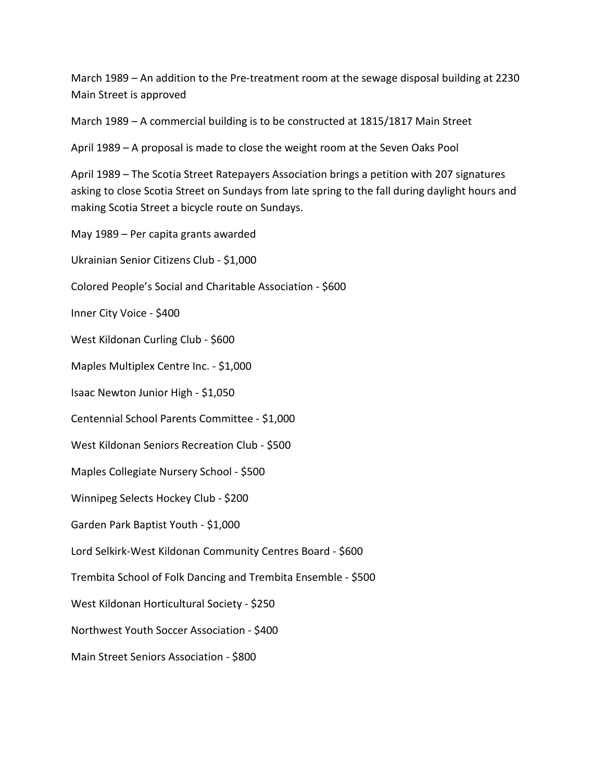March 1989 – An addition to the Pre-treatment room at the sewage disposal building at 2230 Main Street is approved

March 1989 – A commercial building is to be constructed at 1815/1817 Main Street

April 1989 – A proposal is made to close the weight room at the Seven Oaks Pool

April 1989 – The Scotia Street Ratepayers Association brings a petition with 207 signatures asking to close Scotia Street on Sundays from late spring to the fall during daylight hours and making Scotia Street a bicycle route on Sundays.

May 1989 – Per capita grants awarded

Ukrainian Senior Citizens Club - \$1,000

Colored People's Social and Charitable Association - \$600

Inner City Voice - \$400

West Kildonan Curling Club - \$600

Maples Multiplex Centre Inc. - \$1,000

Isaac Newton Junior High - \$1,050

Centennial School Parents Committee - \$1,000

West Kildonan Seniors Recreation Club - \$500

Maples Collegiate Nursery School - \$500

Winnipeg Selects Hockey Club - \$200

Garden Park Baptist Youth - \$1,000

Lord Selkirk-West Kildonan Community Centres Board - \$600

Trembita School of Folk Dancing and Trembita Ensemble - \$500

West Kildonan Horticultural Society - \$250

Northwest Youth Soccer Association - \$400

Main Street Seniors Association - \$800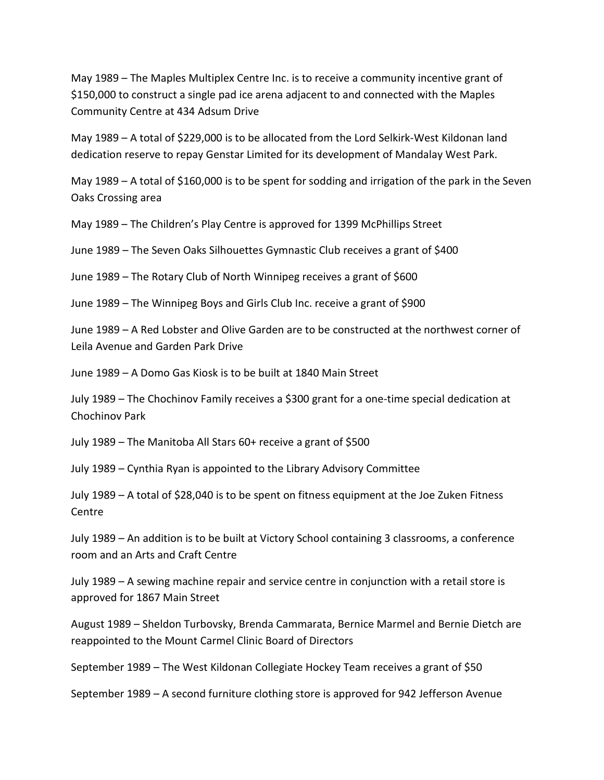May 1989 – The Maples Multiplex Centre Inc. is to receive a community incentive grant of \$150,000 to construct a single pad ice arena adjacent to and connected with the Maples Community Centre at 434 Adsum Drive

May 1989 – A total of \$229,000 is to be allocated from the Lord Selkirk-West Kildonan land dedication reserve to repay Genstar Limited for its development of Mandalay West Park.

May 1989 – A total of \$160,000 is to be spent for sodding and irrigation of the park in the Seven Oaks Crossing area

May 1989 – The Children's Play Centre is approved for 1399 McPhillips Street

June 1989 – The Seven Oaks Silhouettes Gymnastic Club receives a grant of \$400

June 1989 – The Rotary Club of North Winnipeg receives a grant of \$600

June 1989 – The Winnipeg Boys and Girls Club Inc. receive a grant of \$900

June 1989 – A Red Lobster and Olive Garden are to be constructed at the northwest corner of Leila Avenue and Garden Park Drive

June 1989 – A Domo Gas Kiosk is to be built at 1840 Main Street

July 1989 – The Chochinov Family receives a \$300 grant for a one-time special dedication at Chochinov Park

July 1989 – The Manitoba All Stars 60+ receive a grant of \$500

July 1989 – Cynthia Ryan is appointed to the Library Advisory Committee

July 1989 – A total of \$28,040 is to be spent on fitness equipment at the Joe Zuken Fitness Centre

July 1989 – An addition is to be built at Victory School containing 3 classrooms, a conference room and an Arts and Craft Centre

July 1989 – A sewing machine repair and service centre in conjunction with a retail store is approved for 1867 Main Street

August 1989 – Sheldon Turbovsky, Brenda Cammarata, Bernice Marmel and Bernie Dietch are reappointed to the Mount Carmel Clinic Board of Directors

September 1989 – The West Kildonan Collegiate Hockey Team receives a grant of \$50

September 1989 – A second furniture clothing store is approved for 942 Jefferson Avenue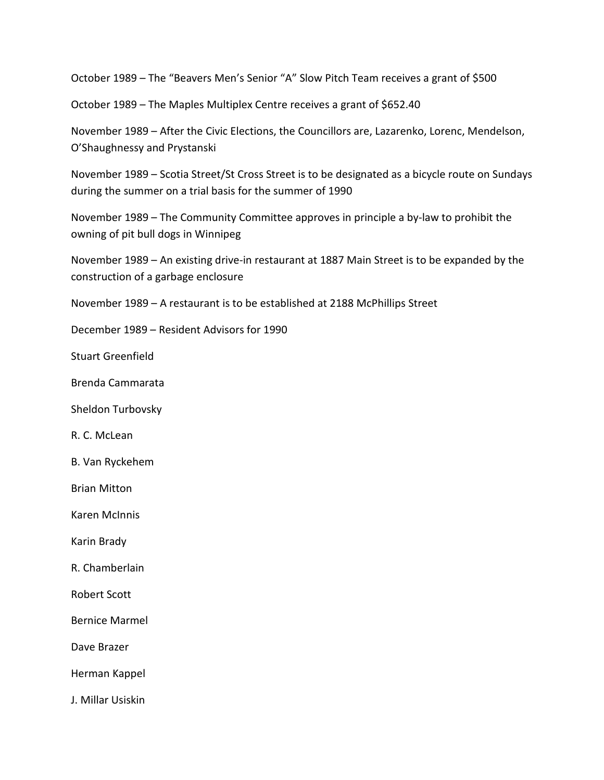October 1989 – The "Beavers Men's Senior "A" Slow Pitch Team receives a grant of \$500

October 1989 – The Maples Multiplex Centre receives a grant of \$652.40

November 1989 – After the Civic Elections, the Councillors are, Lazarenko, Lorenc, Mendelson, O'Shaughnessy and Prystanski

November 1989 – Scotia Street/St Cross Street is to be designated as a bicycle route on Sundays during the summer on a trial basis for the summer of 1990

November 1989 – The Community Committee approves in principle a by-law to prohibit the owning of pit bull dogs in Winnipeg

November 1989 – An existing drive-in restaurant at 1887 Main Street is to be expanded by the construction of a garbage enclosure

November 1989 – A restaurant is to be established at 2188 McPhillips Street

December 1989 – Resident Advisors for 1990

Stuart Greenfield

Brenda Cammarata

Sheldon Turbovsky

R. C. McLean

B. Van Ryckehem

Brian Mitton

Karen McInnis

Karin Brady

R. Chamberlain

Robert Scott

Bernice Marmel

Dave Brazer

Herman Kappel

J. Millar Usiskin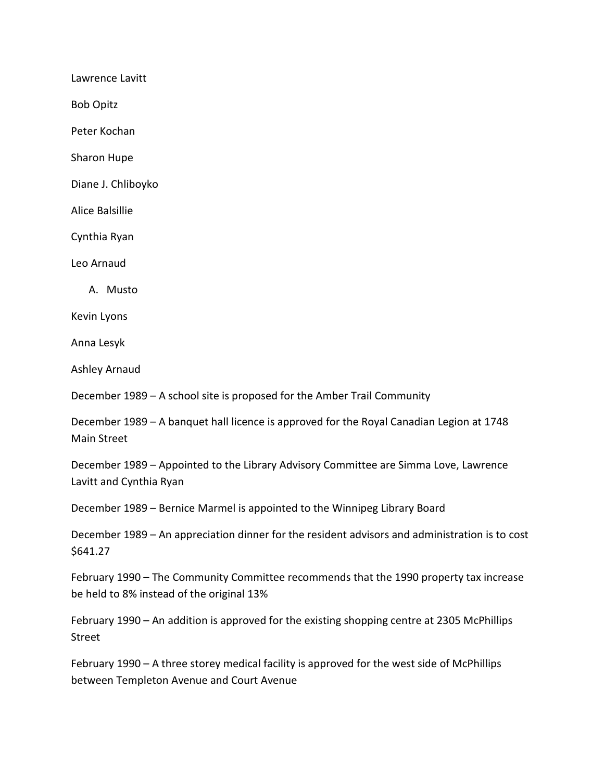Lawrence Lavitt Bob Opitz Peter Kochan Sharon Hupe Diane J. Chliboyko Alice Balsillie Cynthia Ryan Leo Arnaud A. Musto Kevin Lyons Anna Lesyk Ashley Arnaud December 1989 – A school site is proposed for the Amber Trail Community December 1989 – A banquet hall licence is approved for the Royal Canadian Legion at 1748 Main Street

December 1989 – Appointed to the Library Advisory Committee are Simma Love, Lawrence Lavitt and Cynthia Ryan

December 1989 – Bernice Marmel is appointed to the Winnipeg Library Board

December 1989 – An appreciation dinner for the resident advisors and administration is to cost \$641.27

February 1990 – The Community Committee recommends that the 1990 property tax increase be held to 8% instead of the original 13%

February 1990 – An addition is approved for the existing shopping centre at 2305 McPhillips Street

February 1990 – A three storey medical facility is approved for the west side of McPhillips between Templeton Avenue and Court Avenue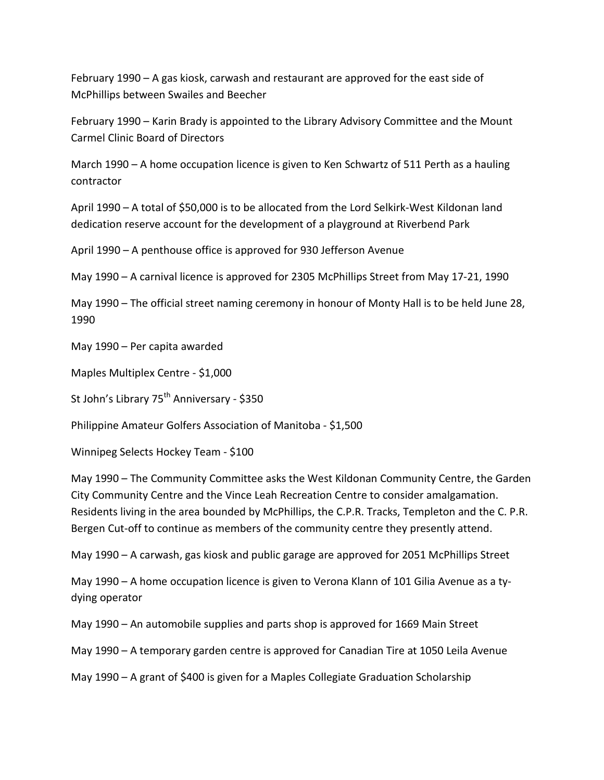February 1990 – A gas kiosk, carwash and restaurant are approved for the east side of McPhillips between Swailes and Beecher

February 1990 – Karin Brady is appointed to the Library Advisory Committee and the Mount Carmel Clinic Board of Directors

March 1990 – A home occupation licence is given to Ken Schwartz of 511 Perth as a hauling contractor

April 1990 – A total of \$50,000 is to be allocated from the Lord Selkirk-West Kildonan land dedication reserve account for the development of a playground at Riverbend Park

April 1990 – A penthouse office is approved for 930 Jefferson Avenue

May 1990 – A carnival licence is approved for 2305 McPhillips Street from May 17-21, 1990

May 1990 – The official street naming ceremony in honour of Monty Hall is to be held June 28, 1990

May 1990 – Per capita awarded

Maples Multiplex Centre - \$1,000

St John's Library 75<sup>th</sup> Anniversary - \$350

Philippine Amateur Golfers Association of Manitoba - \$1,500

Winnipeg Selects Hockey Team - \$100

May 1990 – The Community Committee asks the West Kildonan Community Centre, the Garden City Community Centre and the Vince Leah Recreation Centre to consider amalgamation. Residents living in the area bounded by McPhillips, the C.P.R. Tracks, Templeton and the C. P.R. Bergen Cut-off to continue as members of the community centre they presently attend.

May 1990 – A carwash, gas kiosk and public garage are approved for 2051 McPhillips Street

May 1990 – A home occupation licence is given to Verona Klann of 101 Gilia Avenue as a tydying operator

May 1990 – An automobile supplies and parts shop is approved for 1669 Main Street

May 1990 – A temporary garden centre is approved for Canadian Tire at 1050 Leila Avenue

May 1990 – A grant of \$400 is given for a Maples Collegiate Graduation Scholarship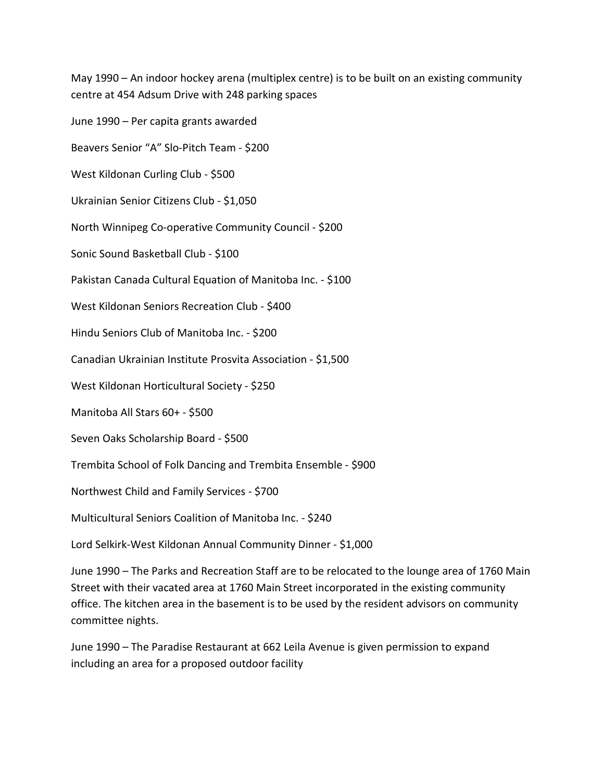May 1990 – An indoor hockey arena (multiplex centre) is to be built on an existing community centre at 454 Adsum Drive with 248 parking spaces

June 1990 – Per capita grants awarded Beavers Senior "A" Slo-Pitch Team - \$200 West Kildonan Curling Club - \$500 Ukrainian Senior Citizens Club - \$1,050 North Winnipeg Co-operative Community Council - \$200 Sonic Sound Basketball Club - \$100 Pakistan Canada Cultural Equation of Manitoba Inc. - \$100 West Kildonan Seniors Recreation Club - \$400 Hindu Seniors Club of Manitoba Inc. - \$200 Canadian Ukrainian Institute Prosvita Association - \$1,500 West Kildonan Horticultural Society - \$250 Manitoba All Stars 60+ - \$500 Seven Oaks Scholarship Board - \$500 Trembita School of Folk Dancing and Trembita Ensemble - \$900 Northwest Child and Family Services - \$700 Multicultural Seniors Coalition of Manitoba Inc. - \$240

Lord Selkirk-West Kildonan Annual Community Dinner - \$1,000

June 1990 – The Parks and Recreation Staff are to be relocated to the lounge area of 1760 Main Street with their vacated area at 1760 Main Street incorporated in the existing community office. The kitchen area in the basement is to be used by the resident advisors on community committee nights.

June 1990 – The Paradise Restaurant at 662 Leila Avenue is given permission to expand including an area for a proposed outdoor facility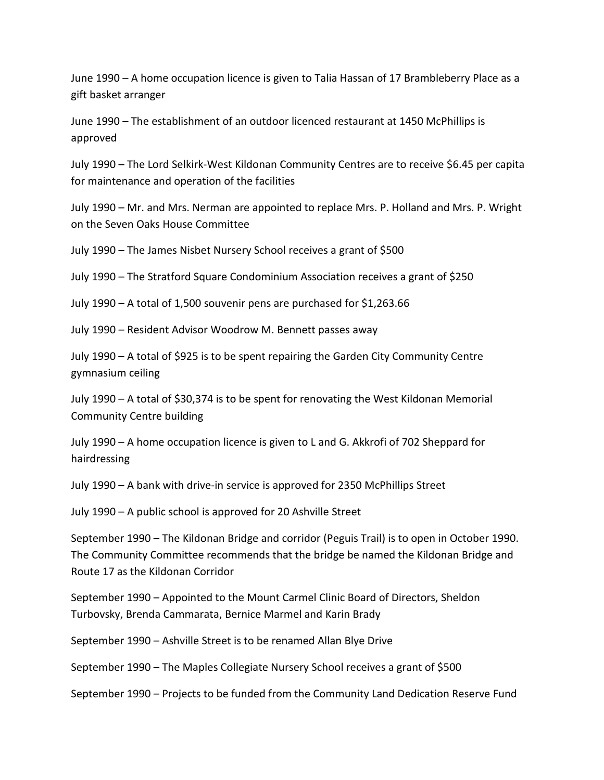June 1990 – A home occupation licence is given to Talia Hassan of 17 Brambleberry Place as a gift basket arranger

June 1990 – The establishment of an outdoor licenced restaurant at 1450 McPhillips is approved

July 1990 – The Lord Selkirk-West Kildonan Community Centres are to receive \$6.45 per capita for maintenance and operation of the facilities

July 1990 – Mr. and Mrs. Nerman are appointed to replace Mrs. P. Holland and Mrs. P. Wright on the Seven Oaks House Committee

July 1990 – The James Nisbet Nursery School receives a grant of \$500

July 1990 – The Stratford Square Condominium Association receives a grant of \$250

July 1990 – A total of 1,500 souvenir pens are purchased for \$1,263.66

July 1990 – Resident Advisor Woodrow M. Bennett passes away

July 1990 – A total of \$925 is to be spent repairing the Garden City Community Centre gymnasium ceiling

July 1990 – A total of \$30,374 is to be spent for renovating the West Kildonan Memorial Community Centre building

July 1990 – A home occupation licence is given to L and G. Akkrofi of 702 Sheppard for hairdressing

July 1990 – A bank with drive-in service is approved for 2350 McPhillips Street

July 1990 – A public school is approved for 20 Ashville Street

September 1990 – The Kildonan Bridge and corridor (Peguis Trail) is to open in October 1990. The Community Committee recommends that the bridge be named the Kildonan Bridge and Route 17 as the Kildonan Corridor

September 1990 – Appointed to the Mount Carmel Clinic Board of Directors, Sheldon Turbovsky, Brenda Cammarata, Bernice Marmel and Karin Brady

September 1990 – Ashville Street is to be renamed Allan Blye Drive

September 1990 – The Maples Collegiate Nursery School receives a grant of \$500

September 1990 – Projects to be funded from the Community Land Dedication Reserve Fund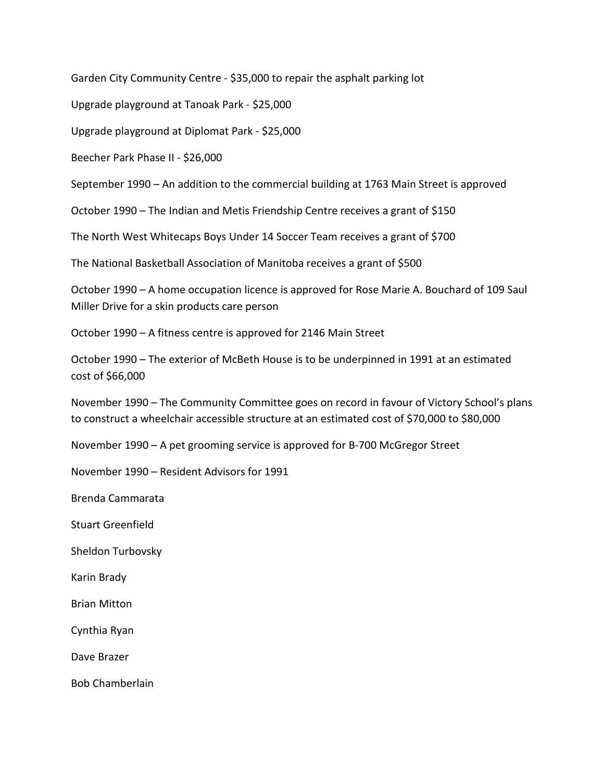Garden City Community Centre - \$35,000 to repair the asphalt parking lot

Upgrade playground at Tanoak Park - \$25,000

Upgrade playground at Diplomat Park - \$25,000

Beecher Park Phase II - \$26,000

September 1990 – An addition to the commercial building at 1763 Main Street is approved

October 1990 – The Indian and Metis Friendship Centre receives a grant of \$150

The North West Whitecaps Boys Under 14 Soccer Team receives a grant of \$700

The National Basketball Association of Manitoba receives a grant of \$500

October 1990 – A home occupation licence is approved for Rose Marie A. Bouchard of 109 Saul Miller Drive for a skin products care person

October 1990 – A fitness centre is approved for 2146 Main Street

October 1990 – The exterior of McBeth House is to be underpinned in 1991 at an estimated cost of \$66,000

November 1990 – The Community Committee goes on record in favour of Victory School's plans to construct a wheelchair accessible structure at an estimated cost of \$70,000 to \$80,000

November 1990 – A pet grooming service is approved for B-700 McGregor Street

November 1990 – Resident Advisors for 1991

Brenda Cammarata

Stuart Greenfield

Sheldon Turbovsky

Karin Brady

Brian Mitton

Cynthia Ryan

Dave Brazer

Bob Chamberlain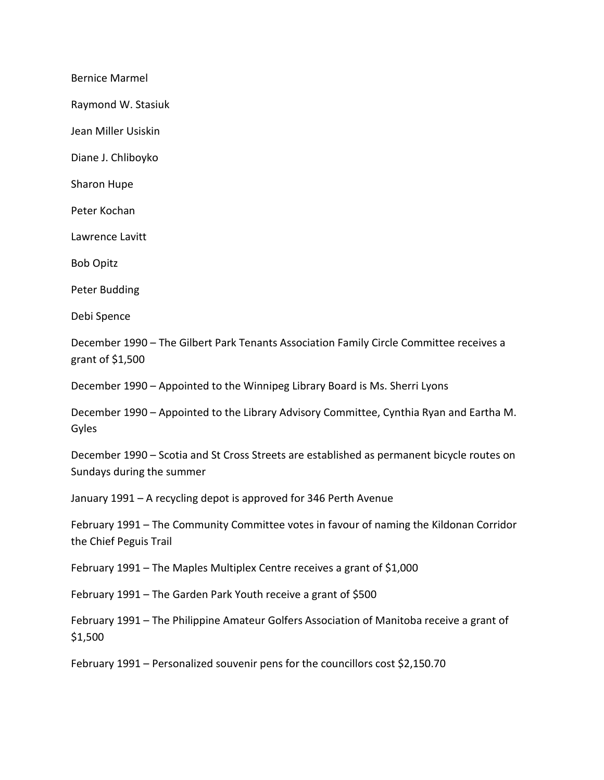Bernice Marmel

Raymond W. Stasiuk

Jean Miller Usiskin

Diane J. Chliboyko

Sharon Hupe

Peter Kochan

Lawrence Lavitt

Bob Opitz

Peter Budding

Debi Spence

December 1990 – The Gilbert Park Tenants Association Family Circle Committee receives a grant of \$1,500

December 1990 – Appointed to the Winnipeg Library Board is Ms. Sherri Lyons

December 1990 – Appointed to the Library Advisory Committee, Cynthia Ryan and Eartha M. Gyles

December 1990 – Scotia and St Cross Streets are established as permanent bicycle routes on Sundays during the summer

January 1991 – A recycling depot is approved for 346 Perth Avenue

February 1991 – The Community Committee votes in favour of naming the Kildonan Corridor the Chief Peguis Trail

February 1991 – The Maples Multiplex Centre receives a grant of \$1,000

February 1991 – The Garden Park Youth receive a grant of \$500

February 1991 – The Philippine Amateur Golfers Association of Manitoba receive a grant of \$1,500

February 1991 – Personalized souvenir pens for the councillors cost \$2,150.70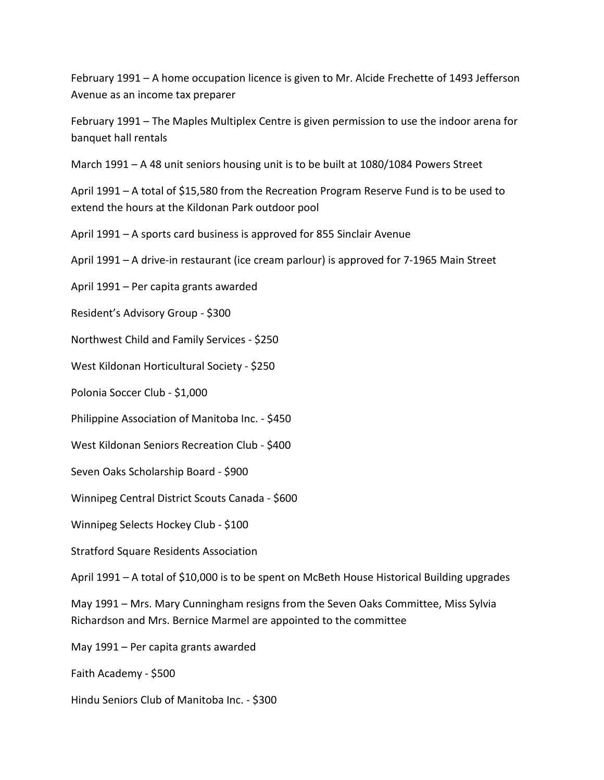February 1991 – A home occupation licence is given to Mr. Alcide Frechette of 1493 Jefferson Avenue as an income tax preparer

February 1991 – The Maples Multiplex Centre is given permission to use the indoor arena for banquet hall rentals

March 1991 – A 48 unit seniors housing unit is to be built at 1080/1084 Powers Street

April 1991 – A total of \$15,580 from the Recreation Program Reserve Fund is to be used to extend the hours at the Kildonan Park outdoor pool

April 1991 – A sports card business is approved for 855 Sinclair Avenue

April 1991 – A drive-in restaurant (ice cream parlour) is approved for 7-1965 Main Street

April 1991 – Per capita grants awarded

Resident's Advisory Group - \$300

Northwest Child and Family Services - \$250

West Kildonan Horticultural Society - \$250

Polonia Soccer Club - \$1,000

Philippine Association of Manitoba Inc. - \$450

West Kildonan Seniors Recreation Club - \$400

Seven Oaks Scholarship Board - \$900

Winnipeg Central District Scouts Canada - \$600

Winnipeg Selects Hockey Club - \$100

Stratford Square Residents Association

April 1991 – A total of \$10,000 is to be spent on McBeth House Historical Building upgrades

May 1991 – Mrs. Mary Cunningham resigns from the Seven Oaks Committee, Miss Sylvia Richardson and Mrs. Bernice Marmel are appointed to the committee

May 1991 – Per capita grants awarded

Faith Academy - \$500

Hindu Seniors Club of Manitoba Inc. - \$300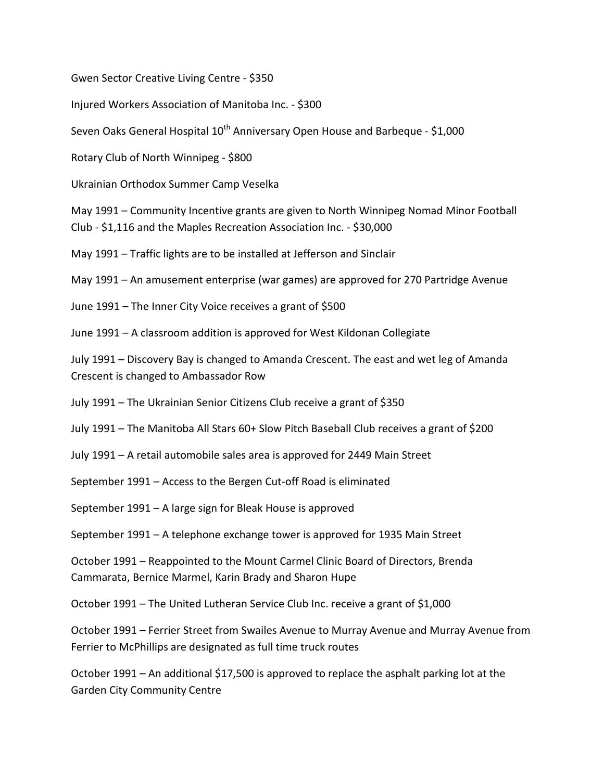Gwen Sector Creative Living Centre - \$350

Injured Workers Association of Manitoba Inc. - \$300

Seven Oaks General Hospital 10<sup>th</sup> Anniversary Open House and Barbeque - \$1,000

Rotary Club of North Winnipeg - \$800

Ukrainian Orthodox Summer Camp Veselka

May 1991 – Community Incentive grants are given to North Winnipeg Nomad Minor Football

Club - \$1,116 and the Maples Recreation Association Inc. - \$30,000

May 1991 – Traffic lights are to be installed at Jefferson and Sinclair

May 1991 – An amusement enterprise (war games) are approved for 270 Partridge Avenue

June 1991 – The Inner City Voice receives a grant of \$500

June 1991 – A classroom addition is approved for West Kildonan Collegiate

July 1991 – Discovery Bay is changed to Amanda Crescent. The east and wet leg of Amanda Crescent is changed to Ambassador Row

July 1991 – The Ukrainian Senior Citizens Club receive a grant of \$350

July 1991 – The Manitoba All Stars 60+ Slow Pitch Baseball Club receives a grant of \$200

July 1991 – A retail automobile sales area is approved for 2449 Main Street

September 1991 – Access to the Bergen Cut-off Road is eliminated

September 1991 – A large sign for Bleak House is approved

September 1991 – A telephone exchange tower is approved for 1935 Main Street

October 1991 – Reappointed to the Mount Carmel Clinic Board of Directors, Brenda Cammarata, Bernice Marmel, Karin Brady and Sharon Hupe

October 1991 – The United Lutheran Service Club Inc. receive a grant of \$1,000

October 1991 – Ferrier Street from Swailes Avenue to Murray Avenue and Murray Avenue from Ferrier to McPhillips are designated as full time truck routes

October 1991 – An additional \$17,500 is approved to replace the asphalt parking lot at the Garden City Community Centre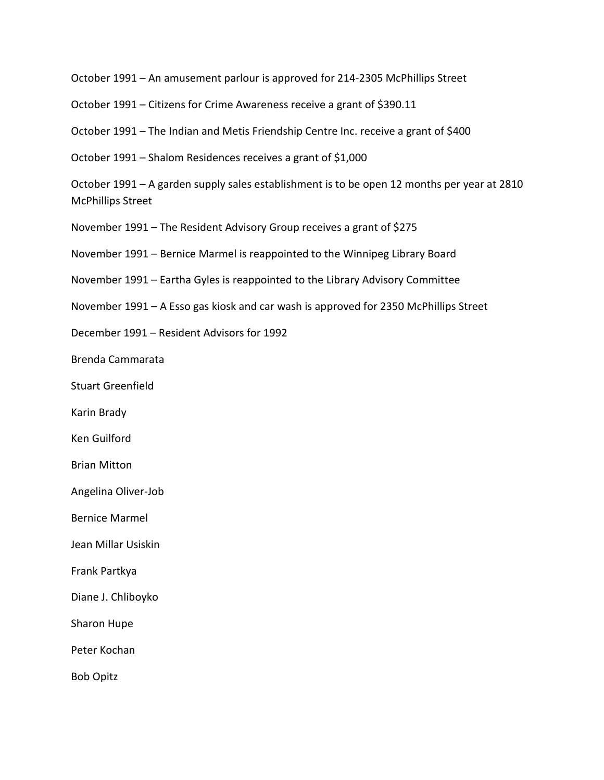October 1991 – An amusement parlour is approved for 214-2305 McPhillips Street

October 1991 – Citizens for Crime Awareness receive a grant of \$390.11

October 1991 – The Indian and Metis Friendship Centre Inc. receive a grant of \$400

October 1991 – Shalom Residences receives a grant of \$1,000

October 1991 – A garden supply sales establishment is to be open 12 months per year at 2810 McPhillips Street

November 1991 – The Resident Advisory Group receives a grant of \$275

November 1991 – Bernice Marmel is reappointed to the Winnipeg Library Board

November 1991 – Eartha Gyles is reappointed to the Library Advisory Committee

November 1991 – A Esso gas kiosk and car wash is approved for 2350 McPhillips Street

December 1991 – Resident Advisors for 1992

Brenda Cammarata

Stuart Greenfield

Karin Brady

Ken Guilford

Brian Mitton

Angelina Oliver-Job

Bernice Marmel

Jean Millar Usiskin

Frank Partkya

Diane J. Chliboyko

Sharon Hupe

Peter Kochan

Bob Opitz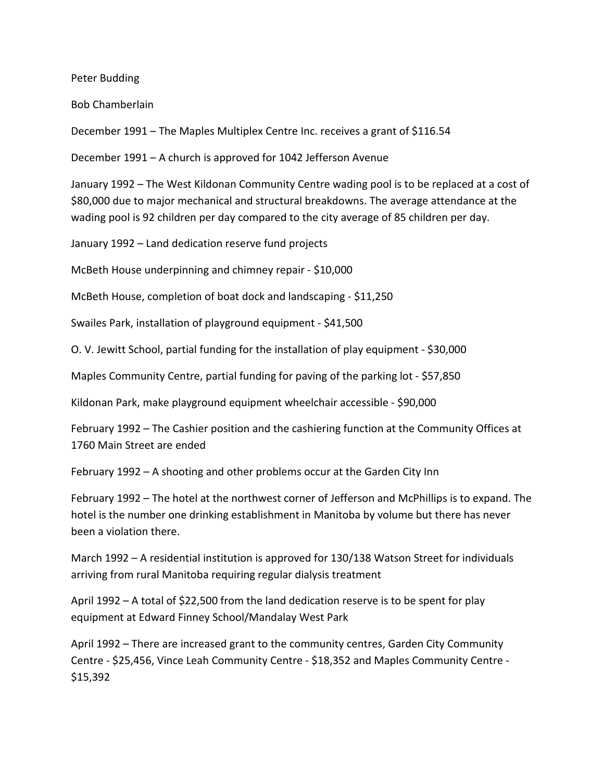Peter Budding

Bob Chamberlain

December 1991 – The Maples Multiplex Centre Inc. receives a grant of \$116.54

December 1991 – A church is approved for 1042 Jefferson Avenue

January 1992 – The West Kildonan Community Centre wading pool is to be replaced at a cost of \$80,000 due to major mechanical and structural breakdowns. The average attendance at the wading pool is 92 children per day compared to the city average of 85 children per day.

January 1992 – Land dedication reserve fund projects

McBeth House underpinning and chimney repair - \$10,000

McBeth House, completion of boat dock and landscaping - \$11,250

Swailes Park, installation of playground equipment - \$41,500

O. V. Jewitt School, partial funding for the installation of play equipment - \$30,000

Maples Community Centre, partial funding for paving of the parking lot - \$57,850

Kildonan Park, make playground equipment wheelchair accessible - \$90,000

February 1992 – The Cashier position and the cashiering function at the Community Offices at 1760 Main Street are ended

February 1992 – A shooting and other problems occur at the Garden City Inn

February 1992 – The hotel at the northwest corner of Jefferson and McPhillips is to expand. The hotel is the number one drinking establishment in Manitoba by volume but there has never been a violation there.

March 1992 – A residential institution is approved for 130/138 Watson Street for individuals arriving from rural Manitoba requiring regular dialysis treatment

April 1992 – A total of \$22,500 from the land dedication reserve is to be spent for play equipment at Edward Finney School/Mandalay West Park

April 1992 – There are increased grant to the community centres, Garden City Community Centre - \$25,456, Vince Leah Community Centre - \$18,352 and Maples Community Centre - \$15,392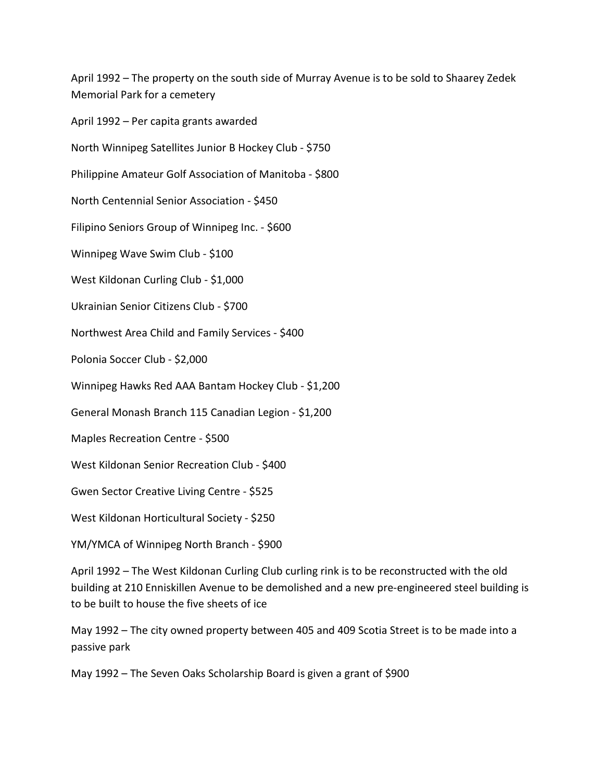April 1992 – The property on the south side of Murray Avenue is to be sold to Shaarey Zedek Memorial Park for a cemetery

April 1992 – Per capita grants awarded

North Winnipeg Satellites Junior B Hockey Club - \$750

Philippine Amateur Golf Association of Manitoba - \$800

North Centennial Senior Association - \$450

Filipino Seniors Group of Winnipeg Inc. - \$600

Winnipeg Wave Swim Club - \$100

West Kildonan Curling Club - \$1,000

Ukrainian Senior Citizens Club - \$700

Northwest Area Child and Family Services - \$400

Polonia Soccer Club - \$2,000

Winnipeg Hawks Red AAA Bantam Hockey Club - \$1,200

General Monash Branch 115 Canadian Legion - \$1,200

Maples Recreation Centre - \$500

West Kildonan Senior Recreation Club - \$400

Gwen Sector Creative Living Centre - \$525

West Kildonan Horticultural Society - \$250

YM/YMCA of Winnipeg North Branch - \$900

April 1992 – The West Kildonan Curling Club curling rink is to be reconstructed with the old building at 210 Enniskillen Avenue to be demolished and a new pre-engineered steel building is to be built to house the five sheets of ice

May 1992 – The city owned property between 405 and 409 Scotia Street is to be made into a passive park

May 1992 – The Seven Oaks Scholarship Board is given a grant of \$900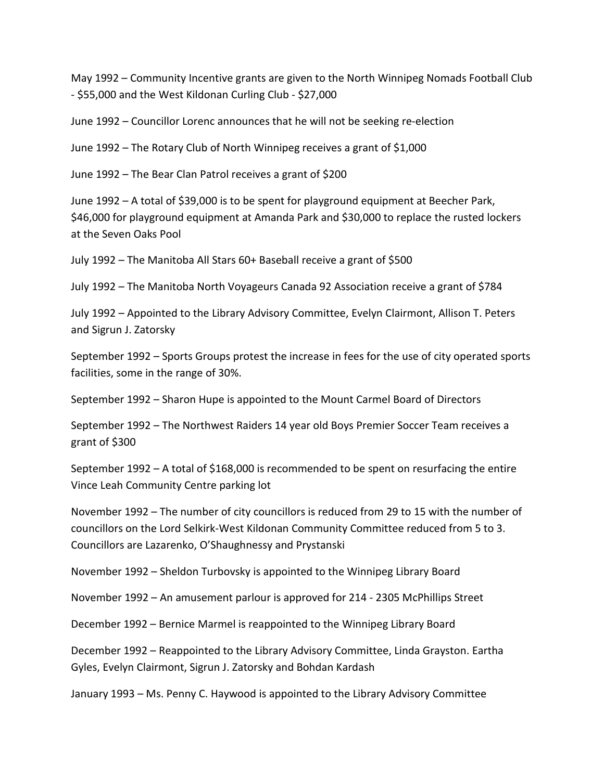May 1992 – Community Incentive grants are given to the North Winnipeg Nomads Football Club - \$55,000 and the West Kildonan Curling Club - \$27,000

June 1992 – Councillor Lorenc announces that he will not be seeking re-election

June 1992 – The Rotary Club of North Winnipeg receives a grant of \$1,000

June 1992 – The Bear Clan Patrol receives a grant of \$200

June 1992 – A total of \$39,000 is to be spent for playground equipment at Beecher Park, \$46,000 for playground equipment at Amanda Park and \$30,000 to replace the rusted lockers at the Seven Oaks Pool

July 1992 – The Manitoba All Stars 60+ Baseball receive a grant of \$500

July 1992 – The Manitoba North Voyageurs Canada 92 Association receive a grant of \$784

July 1992 – Appointed to the Library Advisory Committee, Evelyn Clairmont, Allison T. Peters and Sigrun J. Zatorsky

September 1992 – Sports Groups protest the increase in fees for the use of city operated sports facilities, some in the range of 30%.

September 1992 – Sharon Hupe is appointed to the Mount Carmel Board of Directors

September 1992 – The Northwest Raiders 14 year old Boys Premier Soccer Team receives a grant of \$300

September 1992 – A total of \$168,000 is recommended to be spent on resurfacing the entire Vince Leah Community Centre parking lot

November 1992 – The number of city councillors is reduced from 29 to 15 with the number of councillors on the Lord Selkirk-West Kildonan Community Committee reduced from 5 to 3. Councillors are Lazarenko, O'Shaughnessy and Prystanski

November 1992 – Sheldon Turbovsky is appointed to the Winnipeg Library Board

November 1992 – An amusement parlour is approved for 214 - 2305 McPhillips Street

December 1992 – Bernice Marmel is reappointed to the Winnipeg Library Board

December 1992 – Reappointed to the Library Advisory Committee, Linda Grayston. Eartha Gyles, Evelyn Clairmont, Sigrun J. Zatorsky and Bohdan Kardash

January 1993 – Ms. Penny C. Haywood is appointed to the Library Advisory Committee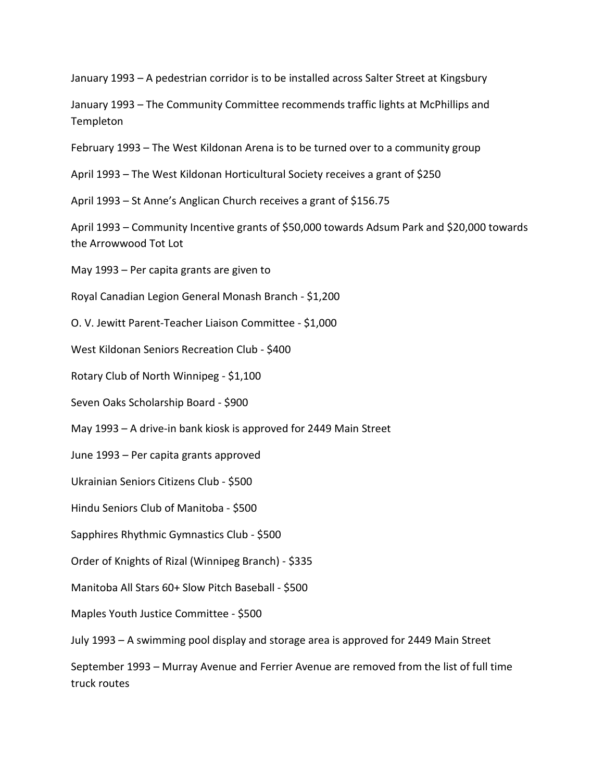January 1993 – A pedestrian corridor is to be installed across Salter Street at Kingsbury

January 1993 – The Community Committee recommends traffic lights at McPhillips and **Templeton** 

February 1993 – The West Kildonan Arena is to be turned over to a community group

April 1993 – The West Kildonan Horticultural Society receives a grant of \$250

April 1993 – St Anne's Anglican Church receives a grant of \$156.75

April 1993 – Community Incentive grants of \$50,000 towards Adsum Park and \$20,000 towards the Arrowwood Tot Lot

May 1993 – Per capita grants are given to

Royal Canadian Legion General Monash Branch - \$1,200

O. V. Jewitt Parent-Teacher Liaison Committee - \$1,000

West Kildonan Seniors Recreation Club - \$400

Rotary Club of North Winnipeg - \$1,100

Seven Oaks Scholarship Board - \$900

May 1993 – A drive-in bank kiosk is approved for 2449 Main Street

June 1993 – Per capita grants approved

Ukrainian Seniors Citizens Club - \$500

Hindu Seniors Club of Manitoba - \$500

Sapphires Rhythmic Gymnastics Club - \$500

Order of Knights of Rizal (Winnipeg Branch) - \$335

Manitoba All Stars 60+ Slow Pitch Baseball - \$500

Maples Youth Justice Committee - \$500

July 1993 – A swimming pool display and storage area is approved for 2449 Main Street

September 1993 – Murray Avenue and Ferrier Avenue are removed from the list of full time truck routes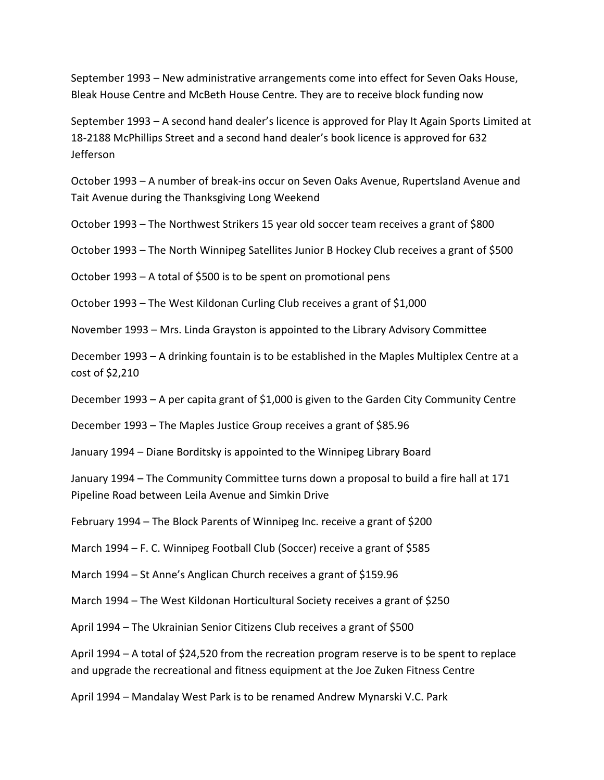September 1993 – New administrative arrangements come into effect for Seven Oaks House, Bleak House Centre and McBeth House Centre. They are to receive block funding now

September 1993 – A second hand dealer's licence is approved for Play It Again Sports Limited at 18-2188 McPhillips Street and a second hand dealer's book licence is approved for 632 Jefferson

October 1993 – A number of break-ins occur on Seven Oaks Avenue, Rupertsland Avenue and Tait Avenue during the Thanksgiving Long Weekend

October 1993 – The Northwest Strikers 15 year old soccer team receives a grant of \$800

October 1993 – The North Winnipeg Satellites Junior B Hockey Club receives a grant of \$500

October 1993 – A total of \$500 is to be spent on promotional pens

October 1993 – The West Kildonan Curling Club receives a grant of \$1,000

November 1993 – Mrs. Linda Grayston is appointed to the Library Advisory Committee

December 1993 – A drinking fountain is to be established in the Maples Multiplex Centre at a cost of \$2,210

December 1993 – A per capita grant of \$1,000 is given to the Garden City Community Centre

December 1993 – The Maples Justice Group receives a grant of \$85.96

January 1994 – Diane Borditsky is appointed to the Winnipeg Library Board

January 1994 – The Community Committee turns down a proposal to build a fire hall at 171 Pipeline Road between Leila Avenue and Simkin Drive

February 1994 – The Block Parents of Winnipeg Inc. receive a grant of \$200

March 1994 – F. C. Winnipeg Football Club (Soccer) receive a grant of \$585

March 1994 – St Anne's Anglican Church receives a grant of \$159.96

March 1994 – The West Kildonan Horticultural Society receives a grant of \$250

April 1994 – The Ukrainian Senior Citizens Club receives a grant of \$500

April 1994 – A total of \$24,520 from the recreation program reserve is to be spent to replace and upgrade the recreational and fitness equipment at the Joe Zuken Fitness Centre

April 1994 – Mandalay West Park is to be renamed Andrew Mynarski V.C. Park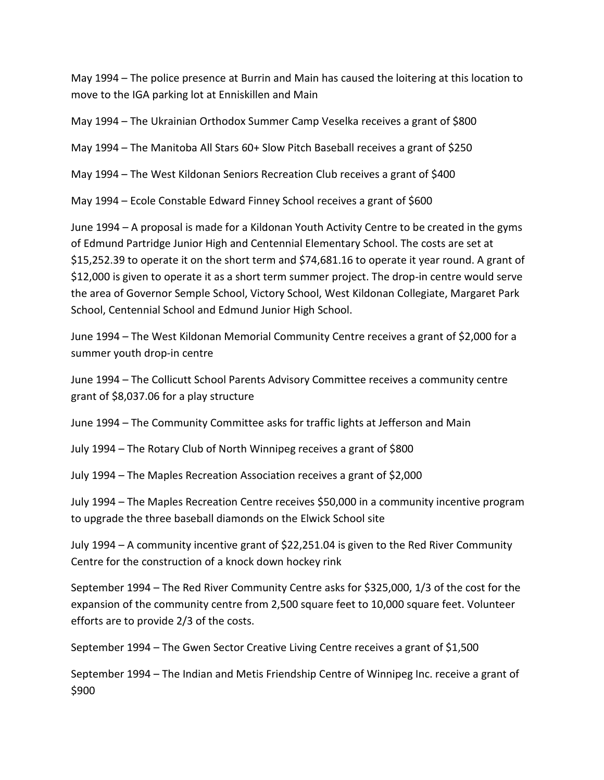May 1994 – The police presence at Burrin and Main has caused the loitering at this location to move to the IGA parking lot at Enniskillen and Main

May 1994 – The Ukrainian Orthodox Summer Camp Veselka receives a grant of \$800

May 1994 – The Manitoba All Stars 60+ Slow Pitch Baseball receives a grant of \$250

May 1994 – The West Kildonan Seniors Recreation Club receives a grant of \$400

May 1994 – Ecole Constable Edward Finney School receives a grant of \$600

June 1994 – A proposal is made for a Kildonan Youth Activity Centre to be created in the gyms of Edmund Partridge Junior High and Centennial Elementary School. The costs are set at \$15,252.39 to operate it on the short term and \$74,681.16 to operate it year round. A grant of \$12,000 is given to operate it as a short term summer project. The drop-in centre would serve the area of Governor Semple School, Victory School, West Kildonan Collegiate, Margaret Park School, Centennial School and Edmund Junior High School.

June 1994 – The West Kildonan Memorial Community Centre receives a grant of \$2,000 for a summer youth drop-in centre

June 1994 – The Collicutt School Parents Advisory Committee receives a community centre grant of \$8,037.06 for a play structure

June 1994 – The Community Committee asks for traffic lights at Jefferson and Main

July 1994 – The Rotary Club of North Winnipeg receives a grant of \$800

July 1994 – The Maples Recreation Association receives a grant of \$2,000

July 1994 – The Maples Recreation Centre receives \$50,000 in a community incentive program to upgrade the three baseball diamonds on the Elwick School site

July 1994 – A community incentive grant of \$22,251.04 is given to the Red River Community Centre for the construction of a knock down hockey rink

September 1994 – The Red River Community Centre asks for \$325,000, 1/3 of the cost for the expansion of the community centre from 2,500 square feet to 10,000 square feet. Volunteer efforts are to provide 2/3 of the costs.

September 1994 – The Gwen Sector Creative Living Centre receives a grant of \$1,500

September 1994 – The Indian and Metis Friendship Centre of Winnipeg Inc. receive a grant of \$900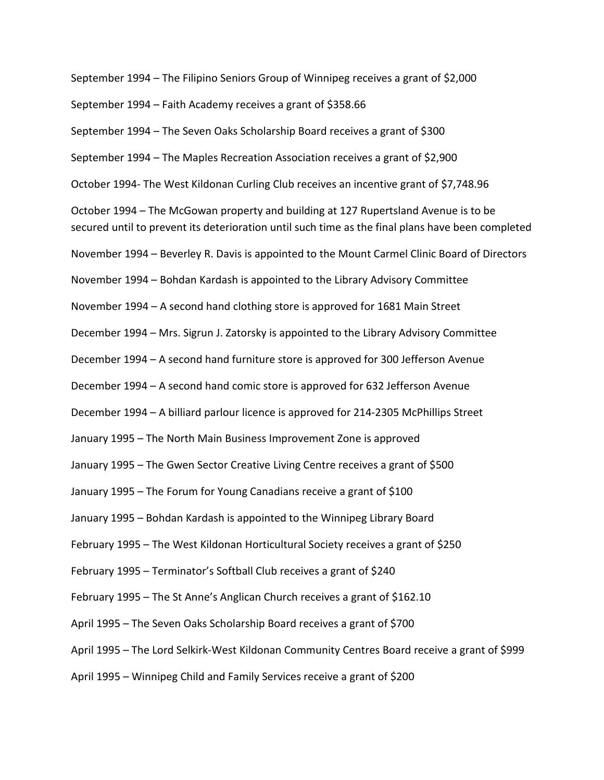September 1994 – The Filipino Seniors Group of Winnipeg receives a grant of \$2,000 September 1994 – Faith Academy receives a grant of \$358.66 September 1994 – The Seven Oaks Scholarship Board receives a grant of \$300 September 1994 – The Maples Recreation Association receives a grant of \$2,900 October 1994- The West Kildonan Curling Club receives an incentive grant of \$7,748.96 October 1994 – The McGowan property and building at 127 Rupertsland Avenue is to be secured until to prevent its deterioration until such time as the final plans have been completed November 1994 – Beverley R. Davis is appointed to the Mount Carmel Clinic Board of Directors November 1994 – Bohdan Kardash is appointed to the Library Advisory Committee November 1994 – A second hand clothing store is approved for 1681 Main Street December 1994 – Mrs. Sigrun J. Zatorsky is appointed to the Library Advisory Committee December 1994 – A second hand furniture store is approved for 300 Jefferson Avenue December 1994 – A second hand comic store is approved for 632 Jefferson Avenue December 1994 – A billiard parlour licence is approved for 214-2305 McPhillips Street January 1995 – The North Main Business Improvement Zone is approved January 1995 – The Gwen Sector Creative Living Centre receives a grant of \$500 January 1995 – The Forum for Young Canadians receive a grant of \$100 January 1995 – Bohdan Kardash is appointed to the Winnipeg Library Board February 1995 – The West Kildonan Horticultural Society receives a grant of \$250 February 1995 – Terminator's Softball Club receives a grant of \$240 February 1995 – The St Anne's Anglican Church receives a grant of \$162.10 April 1995 – The Seven Oaks Scholarship Board receives a grant of \$700 April 1995 – The Lord Selkirk-West Kildonan Community Centres Board receive a grant of \$999 April 1995 – Winnipeg Child and Family Services receive a grant of \$200